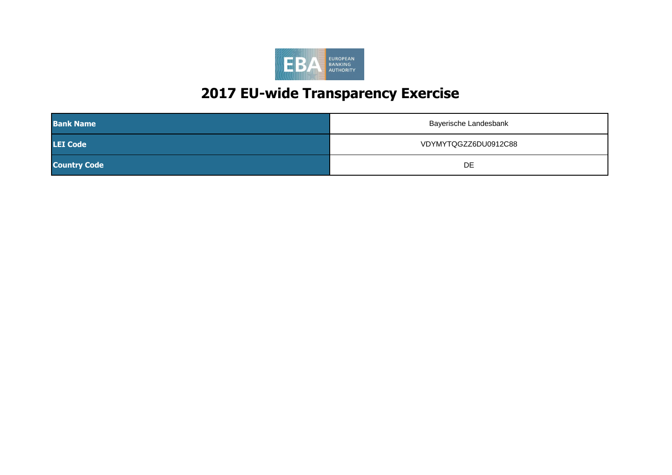

| <b>Bank Name</b>    | Bayerische Landesbank |
|---------------------|-----------------------|
| <b>LEI Code</b>     | VDYMYTQGZZ6DU0912C88  |
| <b>Country Code</b> | DE                    |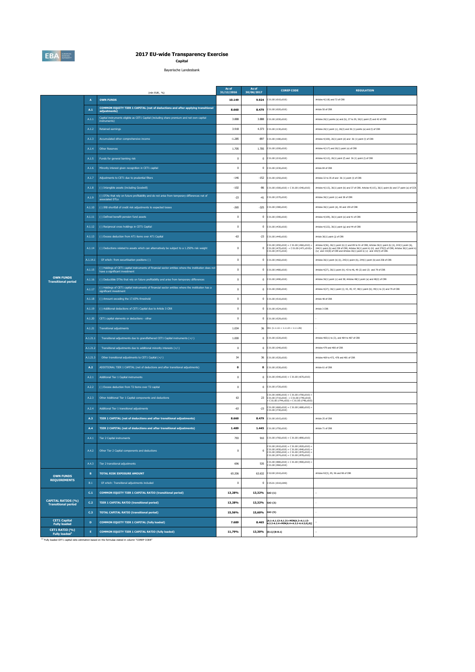

# **2017 EU-wide Transparency Exercise Capital**

Bayerische Landesbank

|                                                         |                 | (mln EUR, %)                                                                                                                                            | As of<br>31/12/2016 | As of<br>30/06/2017 | <b>COREP CODE</b>                                                                                                                  | <b>REGULATION</b>                                                                                                                                                                                                                                                                                                                            |
|---------------------------------------------------------|-----------------|---------------------------------------------------------------------------------------------------------------------------------------------------------|---------------------|---------------------|------------------------------------------------------------------------------------------------------------------------------------|----------------------------------------------------------------------------------------------------------------------------------------------------------------------------------------------------------------------------------------------------------------------------------------------------------------------------------------------|
|                                                         | A               | <b>OWN FUNDS</b>                                                                                                                                        | 10.149              | 9.924               | C 01.00 (r010,c010)                                                                                                                | Articles 4(118) and 72 of CRR                                                                                                                                                                                                                                                                                                                |
|                                                         | A.1             | COMMON EQUITY TIER 1 CAPITAL (net of deductions and after applying transitional<br>adjustments)                                                         | 8.660               | 8.479               | C 01.00 (r020,c010)                                                                                                                | Article 50 of CRR                                                                                                                                                                                                                                                                                                                            |
|                                                         | A.1.1           | Capital instruments eligible as CET1 Capital (including share premium and net own capital<br>instruments)                                               | 3,888               | 3,888               | C 01.00 (r030,c010)                                                                                                                | Articles 26(1) points (a) and (b), 27 to 29, 36(1) point (f) and 42 of CRR                                                                                                                                                                                                                                                                   |
|                                                         | A.1.2           | <b>Retained earnings</b>                                                                                                                                | 3.918               | 4.373               | C 01.00 (r130,c010)                                                                                                                | Articles 26(1) point (c), 26(2) and 36 (1) points (a) and (I) of CRR                                                                                                                                                                                                                                                                         |
|                                                         | A.1.3           | Accumulated other comprehensive income                                                                                                                  | $-1.285$            | $-897$              | C 01.00 (r180,c010)                                                                                                                | Articles 4(100), 26(1) point (d) and 36 (1) point (l) of CRR                                                                                                                                                                                                                                                                                 |
|                                                         | A.1.4           | <b>Other Reserves</b>                                                                                                                                   | 1.705               | 1.705               | C 01.00 (r200,c010)                                                                                                                | Articles 4(117) and 26(1) point (e) of CRR                                                                                                                                                                                                                                                                                                   |
|                                                         | A.1.5           | Funds for general banking risk                                                                                                                          | $\pmb{0}$           | $\bf{0}$            | 201.00 (r210, c010)                                                                                                                | Articles 4(112), 26(1) point (f) and 36 (1) point (l) of CRR                                                                                                                                                                                                                                                                                 |
|                                                         | A.1.6           | Minority interest given recognition in CET1 capital                                                                                                     | $\bf 0$             | $\pmb{0}$           | C 01.00 (r230,c010)                                                                                                                | Article 84 of CRR                                                                                                                                                                                                                                                                                                                            |
|                                                         | A.1.7           | Adjustments to CET1 due to prudential filters                                                                                                           | $-146$              | $-152$              | C 01.00 (r250,c010)                                                                                                                | Articles 32 to 35 of and 36 (1) point (1) of CRR                                                                                                                                                                                                                                                                                             |
|                                                         | A.1.8           | (-) Intangible assets (including Goodwill)                                                                                                              | $-102$              | $-86$               | C 01.00 (r300,c010) + C 01.00 (r340,c010)                                                                                          | Articles 4(113), 36(1) point (b) and 37 of CRR. Articles 4(115), 36(1) point (b) and 37 point (a) of CCR                                                                                                                                                                                                                                     |
|                                                         | A.1.9           | (-) DTAs that rely on future profitability and do not arise from temporary differences net of<br>associated DTLs                                        | $-23$               | $-41$               | C 01.00 (r370,c010)                                                                                                                | Articles 36(1) point (c) and 38 of CRR                                                                                                                                                                                                                                                                                                       |
|                                                         | A.1.10          | (-) IRB shortfall of credit risk adjustments to expected losses                                                                                         | $-265$              | $-325$              | C 01.00 (r380,c010)                                                                                                                | Articles 36(1) point (d), 40 and 159 of CRR                                                                                                                                                                                                                                                                                                  |
|                                                         | A.1.11          | (-) Defined benefit pension fund assets                                                                                                                 | $\bf 0$             | $\bf{0}$            | C 01.00 (r390,c010)                                                                                                                | Articles 4(109), 36(1) point (e) and 41 of CRR                                                                                                                                                                                                                                                                                               |
|                                                         | A.1.12          | (-) Reciprocal cross holdings in CET1 Capital                                                                                                           | $\bf 0$             | $\bf{0}$            | C 01.00 (r430,c010)                                                                                                                | Articles 4(122), 36(1) point (g) and 44 of CRR                                                                                                                                                                                                                                                                                               |
|                                                         | A.1.13          | (-) Excess deduction from AT1 items over AT1 Capital                                                                                                    | $-63$               | $-23$               | C 01.00 (r440,c010)                                                                                                                | Article 36(1) point (j) of CRR                                                                                                                                                                                                                                                                                                               |
|                                                         | A.1.14          | (-) Deductions related to assets which can alternatively be subject to a 1.250% risk weight                                                             | $\bf 0$             | $\bf{0}$            | 01.00 (r450.c010) + C 01.00 (r460.c010) +<br>C 01.00 (r470,c010) + C 01.00 (r471,c010)+<br>C 01.00 (r472.c010)                     | Articles 4(36), 36(1) point (k) (i) and 89 to 91 of CRR; Articles 36(1) point (k) (ii), 243(1) point (b),<br>Automas H(30), 30(1) point (b) (t) and as we see to conce, smitched 24(1) point (b) (t), $2^{n}$ (1) point (b) and 258 of CRR; Articles 36(1) point k(ii) and 379(3) of CRR; Articles 36(1) point k(ii) and 153(8) of CRR and A |
|                                                         | A.1.14.1        | Of which: from securitisation positions (-)                                                                                                             | $\bf 0$             | $\bf{0}$            | C 01.00 (r460,c010)                                                                                                                | Articles 36(1) point (k) (i), 243(1) point (b), 244(1) point (b) and 258 of CRR                                                                                                                                                                                                                                                              |
|                                                         | A.1.15          | (-) Holdings of CET1 capital instruments of financial sector entities where the institiution does not<br>have a significant investment                  | $\bf 0$             | $\bf{0}$            | C 01.00 (r480,c010)                                                                                                                | Articles 4(27), 36(1) point (h); 43 to 46, 49 (2) and (3) and 79 of CRR                                                                                                                                                                                                                                                                      |
| <b>OWN FUNDS</b><br><b>Transitional period</b>          | A.1.16          | (-) Deductible DTAs that rely on future profitability and arise from temporary differences                                                              | $\bf 0$             | $\bf{0}$            | C 01.00 (r490,c010)                                                                                                                | Articles 36(1) point (c) and 38; Articles 48(1) point (a) and 48(2) of CRR                                                                                                                                                                                                                                                                   |
|                                                         | A.1.17          | (-) Holdings of CET1 capital instruments of financial sector entities where the institution has a<br>significant investment                             | $\mathbf{0}$        | $\mathbf{0}$        | C 01.00 (r500,c010)                                                                                                                | Articles 4(27); 36(1) point (i); 43, 45; 47; 48(1) point (b); 49(1) to (3) and 79 of CRR                                                                                                                                                                                                                                                     |
|                                                         | A.1.18          | (-) Amount exceding the 17.65% threshold                                                                                                                | $\bf 0$             | $\mathbf{0}$        | C 01.00 (r510,c010)                                                                                                                | Article 48 of CRR                                                                                                                                                                                                                                                                                                                            |
|                                                         | A.1.19          | (-) Additional deductions of CET1 Capital due to Article 3 CRR                                                                                          | $\pmb{0}$           | $\mathbf 0$         | C 01.00 (r524,c010)                                                                                                                | Article 3 CRR                                                                                                                                                                                                                                                                                                                                |
|                                                         | A.1.20          | CET1 capital elements or deductions - other                                                                                                             | $\pmb{0}$           | 0                   | C 01.00 (r529,c010)                                                                                                                |                                                                                                                                                                                                                                                                                                                                              |
|                                                         | A.1.21          | <b>Transitional adjustments</b>                                                                                                                         | 1.034               | $36\,$              | $CA1$ {1.1.1.6 + 1.1.1.8 + 1.1.1.26}                                                                                               |                                                                                                                                                                                                                                                                                                                                              |
|                                                         | A.1.21.1        | Transitional adjustments due to grandfathered CET1 Capital instruments (+/-)                                                                            | 1.000               | $\mathbf 0$         | C 01.00 (r220,c010)                                                                                                                | Articles 483(1) to (3), and 484 to 487 of CRR                                                                                                                                                                                                                                                                                                |
|                                                         | A.1.21.2        | Transitional adjustments due to additional minority interests (+/-)                                                                                     | $\bf 0$             | $\mathbf 0$         | C 01.00 (r240,c010)                                                                                                                | Articles 479 and 480 of CRR                                                                                                                                                                                                                                                                                                                  |
|                                                         | A.1.21.3        | Other transitional adjustments to CET1 Capital (+/-)                                                                                                    | 34                  | 36                  | C 01.00 (r520,c010)                                                                                                                | Articles 469 to 472, 478 and 481 of CRR                                                                                                                                                                                                                                                                                                      |
|                                                         | A.2             | ADDITIONAL TIER 1 CAPITAL (net of deductions and after transitional adjustments)                                                                        | $\mathbf{0}$        | $\mathbf 0$         | C 01.00 (r530,c010)                                                                                                                | Article 61 of CRR                                                                                                                                                                                                                                                                                                                            |
|                                                         | A.2.1           | Additional Tier 1 Capital instruments                                                                                                                   | $\bf{0}$            | $\mathbf 0$         | C 01.00 (r540,c010) + C 01.00 (r670,c010)                                                                                          |                                                                                                                                                                                                                                                                                                                                              |
|                                                         | A.2.2           | (-) Excess deduction from T2 items over T2 capital                                                                                                      | $\bf 0$             | $\pmb{0}$           | C 01.00 (r720,c010)<br>$01.00$ (r690.c010) + C 01.00 (r700.c010)                                                                   |                                                                                                                                                                                                                                                                                                                                              |
|                                                         | A.2.3           | Other Additional Tier 1 Capital components and deductions                                                                                               | 63                  | 23                  | C 01.00 (r710,c010) + C 01.00 (r740,c010)<br>+ C 01.00 (r744,c010) + C 01.00 (r748,c010)                                           |                                                                                                                                                                                                                                                                                                                                              |
|                                                         | A.2.4           | Additional Tier 1 transitional adjustments                                                                                                              | $-63$               | $-23$               | 2 01.00 (r660,c010) + C 01.00 (r680,c010) -<br>2 01.00 (r730,c010)                                                                 |                                                                                                                                                                                                                                                                                                                                              |
|                                                         | A.3             | <b>TIER 1 CAPITAL (net of deductions and after transitional adjustments)</b>                                                                            | 8.660               | 8.479               | C 01.00 (r015,c010)                                                                                                                | Article 25 of CRR                                                                                                                                                                                                                                                                                                                            |
|                                                         | A.4             | TIER 2 CAPITAL (net of deductions and after transitional adjustments)                                                                                   | 1.489               | 1.445               | C 01.00 (r750,c010)                                                                                                                | Article 71 of CRR                                                                                                                                                                                                                                                                                                                            |
|                                                         | A.4.1           | Tier 2 Capital instruments                                                                                                                              | 793                 | 910                 | C 01.00 (r760,c010) + C 01.00 (r890,c010)<br>C 01.00 (r910.c010) + C 01.00 (r920.c010) +                                           |                                                                                                                                                                                                                                                                                                                                              |
|                                                         | A.4.2           | Other Tier 2 Capital components and deductions                                                                                                          | $^{\circ}$          | $^{\circ}$          | $0.00$ (r930,c010) + C 01.00 (r940,c010)<br>C 01.00 (r950.c010) + C 01.00 (r970.c010)<br>$01.00$ (r974,c010) + C 01.00 (r978,c010) |                                                                                                                                                                                                                                                                                                                                              |
|                                                         | A.4.3           | Tier 2 transitional adjustments                                                                                                                         | 696                 | 535                 | C 01.00 (r880,c010) + C 01.00 (r900,c010) +<br>C 01.00 (r960,c010)                                                                 |                                                                                                                                                                                                                                                                                                                                              |
| <b>OWN FUNDS</b>                                        | $\, {\bf B} \,$ | <b>TOTAL RISK EXPOSURE AMOUNT</b>                                                                                                                       | 65.206              | 63.632              | C 02.00 (r010,c010)                                                                                                                | Articles 92(3), 95, 96 and 98 of CRR                                                                                                                                                                                                                                                                                                         |
| <b>REQUIREMENTS</b>                                     | B.1             | Of which: Transitional adjustments included                                                                                                             | $\bf 0$             | $\pmb{0}$           | C 05.01 (r010;c040)                                                                                                                |                                                                                                                                                                                                                                                                                                                                              |
|                                                         | C <sub>1</sub>  | <b>COMMON EQUITY TIER 1 CAPITAL RATIO (transitional period)</b>                                                                                         | 13,28%              | 13,32%              | CA3 {1}                                                                                                                            |                                                                                                                                                                                                                                                                                                                                              |
| <b>CAPITAL RATIOS (%)</b><br><b>Transitional period</b> | C.2             | <b>TIER 1 CAPITAL RATIO (transitional period)</b>                                                                                                       | 13,28%              | 13,32%              | CA3 {3}                                                                                                                            |                                                                                                                                                                                                                                                                                                                                              |
|                                                         | C.3             | <b>TOTAL CAPITAL RATIO (transitional period)</b>                                                                                                        | 15,56%              | 15,60%              | CA3 (5)                                                                                                                            |                                                                                                                                                                                                                                                                                                                                              |
| <b>CET1 Capital</b><br><b>Fully loaded</b>              | $\mathbf D$     | COMMON EQUITY TIER 1 CAPITAL (fully loaded)                                                                                                             | 7.689               | 8.465               | [A.1-A.1.13-A.1.21+MIN(A.2+A.1.13-<br>A.2.2-A.2.4+MIN(A.4+A.2.2-A.4.3,0),0)]                                                       |                                                                                                                                                                                                                                                                                                                                              |
| CET1 RATIO (%)<br>Fully loaded <sup>1</sup>             | E               | COMMON EQUITY TIER 1 CAPITAL RATIO (fully loaded)<br>11) Fully loaded CET1 capital ratio estimation based on the formulae stated in column "COREP CODE" | 11,79%              | 13,30%              | $[D.1]/[B-B.1]$                                                                                                                    |                                                                                                                                                                                                                                                                                                                                              |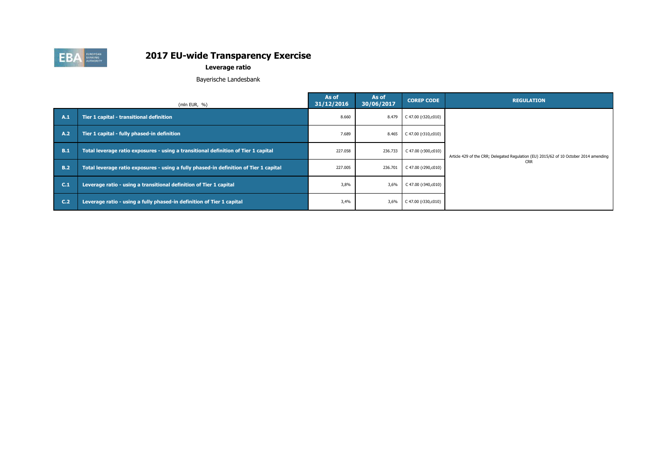

# **Leverage ratio**

Bayerische Landesbank

|                 | (mln EUR, $%$ )                                                                       | As of<br>31/12/2016                       | As of<br>30/06/2017 | <b>COREP CODE</b>   | <b>REGULATION</b>                                                                     |
|-----------------|---------------------------------------------------------------------------------------|-------------------------------------------|---------------------|---------------------|---------------------------------------------------------------------------------------|
| A.1             | Tier 1 capital - transitional definition                                              | 8.660                                     | 8.479               | C 47.00 (r320,c010) |                                                                                       |
| A.2             | Tier 1 capital - fully phased-in definition                                           | 7.689                                     | 8.465               | C 47.00 (r310,c010) |                                                                                       |
| B.1             | Total leverage ratio exposures - using a transitional definition of Tier 1 capital    | 227.058<br>236.733<br>C 47.00 (r300,c010) |                     |                     | Article 429 of the CRR; Delegated Regulation (EU) 2015/62 of 10 October 2014 amending |
| B.2             | Total leverage ratio exposures - using a fully phased-in definition of Tier 1 capital | 227.005<br>236.701<br>C 47.00 (r290,c010) | <b>CRR</b>          |                     |                                                                                       |
| C.1             | Leverage ratio - using a transitional definition of Tier 1 capital                    | 3,8%                                      | 3,6%                | C 47.00 (r340,c010) |                                                                                       |
| C <sub>12</sub> | Leverage ratio - using a fully phased-in definition of Tier 1 capital                 | 3,4%                                      | 3,6%                | C 47.00 (r330,c010) |                                                                                       |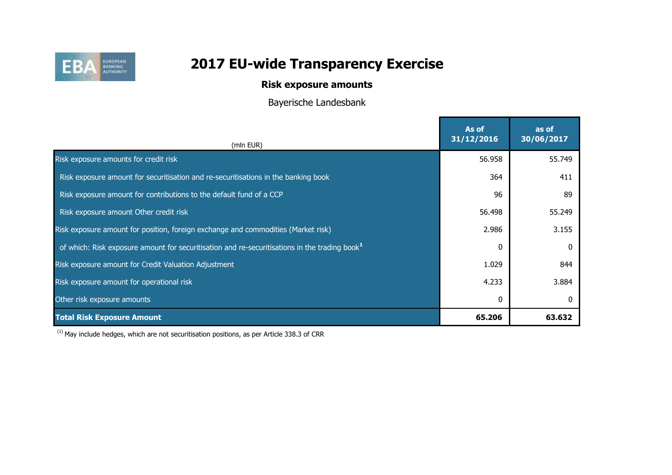

# **Risk exposure amounts**

Bayerische Landesbank

|                                                                                                           | As of<br>31/12/2016 | as of<br>30/06/2017 |
|-----------------------------------------------------------------------------------------------------------|---------------------|---------------------|
| (mln EUR)                                                                                                 |                     |                     |
| Risk exposure amounts for credit risk                                                                     | 56.958              | 55.749              |
| Risk exposure amount for securitisation and re-securitisations in the banking book                        | 364                 | 411                 |
| Risk exposure amount for contributions to the default fund of a CCP                                       | 96                  | 89                  |
| Risk exposure amount Other credit risk                                                                    | 56.498              | 55.249              |
| Risk exposure amount for position, foreign exchange and commodities (Market risk)                         | 2.986               | 3.155               |
| of which: Risk exposure amount for securitisation and re-securitisations in the trading book <sup>1</sup> |                     |                     |
| Risk exposure amount for Credit Valuation Adjustment                                                      | 1.029               | 844                 |
| Risk exposure amount for operational risk                                                                 | 4.233               | 3.884               |
| Other risk exposure amounts                                                                               |                     |                     |
| <b>Total Risk Exposure Amount</b>                                                                         | 65.206              | 63.632              |

 $(1)$  May include hedges, which are not securitisation positions, as per Article 338.3 of CRR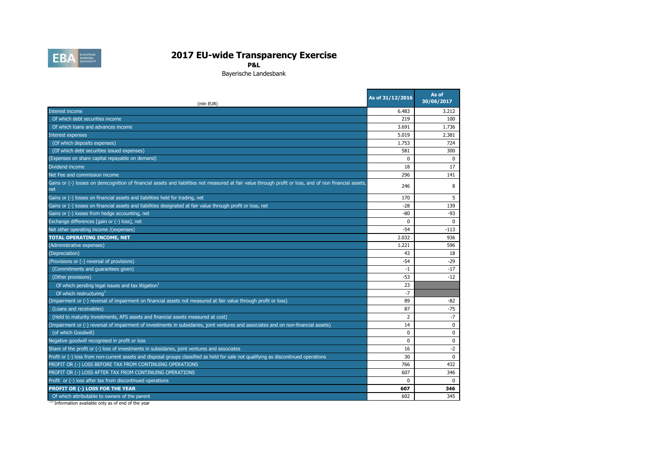

Bayerische Landesbank

| (mln EUR)                                                                                                                                                       | As of 31/12/2016 | As of<br>30/06/2017 |
|-----------------------------------------------------------------------------------------------------------------------------------------------------------------|------------------|---------------------|
| Interest income                                                                                                                                                 | 6.483            | 3.212               |
| Of which debt securities income                                                                                                                                 | 219              | 100                 |
| Of which loans and advances income                                                                                                                              | 3.691            | 1.736               |
| Interest expenses                                                                                                                                               | 5.019            | 2.381               |
| (Of which deposits expenses)                                                                                                                                    | 1.753            | 724                 |
| (Of which debt securities issued expenses)                                                                                                                      | 581              | 300                 |
| (Expenses on share capital repayable on demand)                                                                                                                 | $\Omega$         | $\Omega$            |
| Dividend income                                                                                                                                                 | 18               | 17                  |
| Net Fee and commission income                                                                                                                                   | 296              | 141                 |
| Gains or (-) losses on derecognition of financial assets and liabilities not measured at fair value through profit or loss, and of non financial assets,<br>net | 246              | 8                   |
| Gains or (-) losses on financial assets and liabilities held for trading, net                                                                                   | 170              | 5                   |
| Gains or (-) losses on financial assets and liabilities designated at fair value through profit or loss, net                                                    | $-28$            | 139                 |
| Gains or (-) losses from hedge accounting, net                                                                                                                  | $-80$            | $-93$               |
| Exchange differences [gain or (-) loss], net                                                                                                                    | $\Omega$         | $\Omega$            |
| Net other operating income /(expenses)                                                                                                                          | $-54$            | $-113$              |
| <b>TOTAL OPERATING INCOME, NET</b>                                                                                                                              | 2.032            | 936                 |
| (Administrative expenses)                                                                                                                                       | 1.221            | 596                 |
| (Depreciation)                                                                                                                                                  | 43               | 18                  |
| (Provisions or (-) reversal of provisions)                                                                                                                      | -54              | $-29$               |
| (Commitments and guarantees given)                                                                                                                              | -1               | $-17$               |
| (Other provisions)                                                                                                                                              | -53              | $-12$               |
| Of which pending legal issues and tax litigation <sup>1</sup>                                                                                                   | 23               |                     |
| Of which restructuring <sup>1</sup>                                                                                                                             | $-7$             |                     |
| (Impairment or (-) reversal of impairment on financial assets not measured at fair value through profit or loss)                                                | 89               | -82                 |
| (Loans and receivables)                                                                                                                                         | 87               | -75                 |
| (Held to maturity investments, AFS assets and financial assets measured at cost)                                                                                | 2                | $-7$                |
| (Impairment or (-) reversal of impairment of investments in subsidaries, joint ventures and associates and on non-financial assets)                             | 14               | $\Omega$            |
| (of which Goodwill)                                                                                                                                             | $\Omega$         | $\mathbf 0$         |
| Negative goodwill recognised in profit or loss                                                                                                                  | $\Omega$         | 0                   |
| Share of the profit or (-) loss of investments in subsidaries, joint ventures and associates                                                                    | 16               | $-2$                |
| Profit or (-) loss from non-current assets and disposal groups classified as held for sale not qualifying as discontinued operations                            | 30               | 0                   |
| PROFIT OR (-) LOSS BEFORE TAX FROM CONTINUING OPERATIONS                                                                                                        | 766              | 432                 |
| PROFIT OR (-) LOSS AFTER TAX FROM CONTINUING OPERATIONS                                                                                                         | 607              | 346                 |
| Profit or (-) loss after tax from discontinued operations                                                                                                       | $\Omega$         | $\Omega$            |
| PROFIT OR (-) LOSS FOR THE YEAR                                                                                                                                 | 607              | 346                 |
| Of which attributable to owners of the parent                                                                                                                   | 602              | 345                 |

(1) Information available only as of end of the year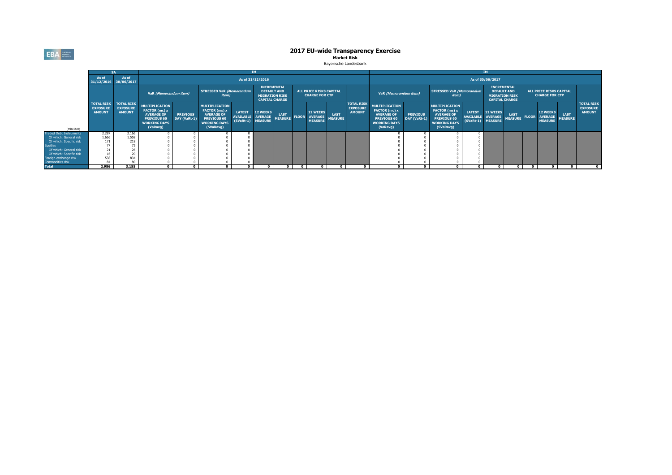**EBA** 

# 201612 201706 201612 201612 201612 201612 201612 201612 201612 201612 201612 201612 201706 201706 201706 201706 201706**2017 EU-wide Transparency Exercise Market Risk**

Bayerische Landesbank

|                                           |                                                       |                                                       |                                                                                                                      | <b>IM</b>                       |                                                                                                                       |                                                  |                                                     |                        |                                                                                            | IM.                                                 |                               |                                                         |                                                                                                                      |                                 |                                                                                                                       |                                                  |                                                  |                               |                                                                                            |                                                     |                               |                                                       |  |  |
|-------------------------------------------|-------------------------------------------------------|-------------------------------------------------------|----------------------------------------------------------------------------------------------------------------------|---------------------------------|-----------------------------------------------------------------------------------------------------------------------|--------------------------------------------------|-----------------------------------------------------|------------------------|--------------------------------------------------------------------------------------------|-----------------------------------------------------|-------------------------------|---------------------------------------------------------|----------------------------------------------------------------------------------------------------------------------|---------------------------------|-----------------------------------------------------------------------------------------------------------------------|--------------------------------------------------|--------------------------------------------------|-------------------------------|--------------------------------------------------------------------------------------------|-----------------------------------------------------|-------------------------------|-------------------------------------------------------|--|--|
|                                           | As of<br>31/12/2016 30/06/2017                        | As of                                                 |                                                                                                                      | As of 31/12/2016                |                                                                                                                       |                                                  |                                                     |                        |                                                                                            | As of 30/06/2017                                    |                               |                                                         |                                                                                                                      |                                 |                                                                                                                       |                                                  |                                                  |                               |                                                                                            |                                                     |                               |                                                       |  |  |
|                                           | <b>TOTAL RISK</b><br><b>EXPOSURE</b><br><b>AMOUNT</b> |                                                       |                                                                                                                      |                                 | VaR (Memorandum item)                                                                                                 |                                                  | <b>STRESSED VaR (Memorandum</b><br>item)            |                        | <b>INCREMENTAL</b><br><b>DEFAULT AND</b><br><b>MIGRATION RISK</b><br><b>CAPITAL CHARGE</b> |                                                     |                               | <b>ALL PRICE RISKS CAPITAL</b><br><b>CHARGE FOR CTP</b> |                                                                                                                      |                                 | VaR (Memorandum item)                                                                                                 |                                                  | <b>STRESSED VaR (Memorandum</b><br><i>item</i> ) |                               | <b>INCREMENTAL</b><br><b>DEFAULT AND</b><br><b>MIGRATION RISK</b><br><b>CAPITAL CHARGE</b> |                                                     |                               | ALL PRICE RISKS CAPITAL<br><b>CHARGE FOR CTP</b>      |  |  |
| (mln EUR)                                 |                                                       | <b>TOTAL RISK</b><br><b>EXPOSURE</b><br><b>AMOUNT</b> | <b>MULTIPLICATION</b><br>FACTOR (mc) x<br><b>AVERAGE OF</b><br><b>PREVIOUS 60</b><br><b>WORKING DAYS</b><br>(VaRavg) | <b>PREVIOUS</b><br>DAY (VaRt-1) | <b>MULTIPLICATION</b><br>FACTOR (ms) x<br><b>AVERAGE OF</b><br><b>PREVIOUS 60</b><br><b>WORKING DAYS</b><br>(SVaRavg) | <b>LATEST</b><br><b>AVAILABLE</b><br>$(SVaRt-1)$ | <b>12 WEEKS</b><br><b>AVERAGE</b><br><b>MEASURE</b> | LAST<br><b>MEASURE</b> | <b>FLOOR</b>                                                                               | <b>12 WEEKS</b><br><b>AVERAGE</b><br><b>MEASURE</b> | <b>LAST</b><br><b>MEASURE</b> | <b>TOTAL RISK</b><br><b>EXPOSURE</b><br><b>AMOUNT</b>   | <b>MULTIPLICATION</b><br>FACTOR (mc) x<br><b>AVERAGE OF</b><br><b>PREVIOUS 60</b><br><b>WORKING DAYS</b><br>(VaRavg) | <b>PREVIOUS</b><br>DAY (VaRt-1) | <b>MULTIPLICATION</b><br>FACTOR (ms) x<br><b>AVERAGE OF</b><br><b>PREVIOUS 60</b><br><b>WORKING DAYS</b><br>(SVaRavg) | <b>LATEST</b><br><b>AVAILABLE</b><br>$(SVaRt-1)$ | <b>12 WEEKS</b><br>AVERAGE<br><b>MEASURE</b>     | <b>LAST</b><br><b>MEASURE</b> | <b>FLOOR</b>                                                                               | <b>12 WEEKS</b><br><b>AVERAGE</b><br><b>MEASURE</b> | <b>LAST</b><br><b>MEASURE</b> | <b>TOTAL RISK</b><br><b>EXPOSURE</b><br><b>AMOUNT</b> |  |  |
| <b>Traded Debt Instruments</b>            | 2.287                                                 | 2.166                                                 |                                                                                                                      |                                 |                                                                                                                       |                                                  |                                                     |                        |                                                                                            |                                                     |                               |                                                         |                                                                                                                      |                                 |                                                                                                                       |                                                  |                                                  |                               |                                                                                            |                                                     |                               |                                                       |  |  |
| Of which: General risk                    | 1.666                                                 | 1.558                                                 |                                                                                                                      |                                 |                                                                                                                       |                                                  |                                                     |                        |                                                                                            |                                                     |                               |                                                         |                                                                                                                      |                                 |                                                                                                                       |                                                  |                                                  |                               |                                                                                            |                                                     |                               |                                                       |  |  |
| Of which: Specific risk                   | 171                                                   | 218                                                   |                                                                                                                      |                                 |                                                                                                                       |                                                  |                                                     |                        |                                                                                            |                                                     |                               |                                                         |                                                                                                                      |                                 |                                                                                                                       |                                                  |                                                  |                               |                                                                                            |                                                     |                               |                                                       |  |  |
| quities                                   | 77                                                    |                                                       |                                                                                                                      |                                 |                                                                                                                       |                                                  |                                                     |                        |                                                                                            |                                                     |                               |                                                         |                                                                                                                      |                                 |                                                                                                                       |                                                  |                                                  |                               |                                                                                            |                                                     |                               |                                                       |  |  |
| Of which: General risk                    | 21                                                    | 26                                                    |                                                                                                                      |                                 |                                                                                                                       |                                                  |                                                     |                        |                                                                                            |                                                     |                               |                                                         |                                                                                                                      |                                 |                                                                                                                       |                                                  |                                                  |                               |                                                                                            |                                                     |                               |                                                       |  |  |
| Of which: Specific risk                   | 16                                                    |                                                       |                                                                                                                      |                                 |                                                                                                                       |                                                  |                                                     |                        |                                                                                            |                                                     |                               |                                                         |                                                                                                                      |                                 |                                                                                                                       |                                                  |                                                  |                               |                                                                                            |                                                     |                               |                                                       |  |  |
| Foreign exchange risk<br>Commodities risk | 538<br>84                                             | 834                                                   |                                                                                                                      |                                 |                                                                                                                       |                                                  |                                                     |                        |                                                                                            |                                                     |                               |                                                         |                                                                                                                      |                                 |                                                                                                                       |                                                  |                                                  |                               |                                                                                            |                                                     |                               |                                                       |  |  |
| <b>Total</b>                              | 2.986                                                 | 3.155                                                 | $\mathbf{r}$                                                                                                         | $\Omega$                        | $\Omega$                                                                                                              |                                                  | $\mathbf{r}$                                        |                        |                                                                                            |                                                     |                               |                                                         |                                                                                                                      |                                 | $\mathbf{a}$                                                                                                          |                                                  |                                                  |                               |                                                                                            | $\mathbf{0}$                                        |                               |                                                       |  |  |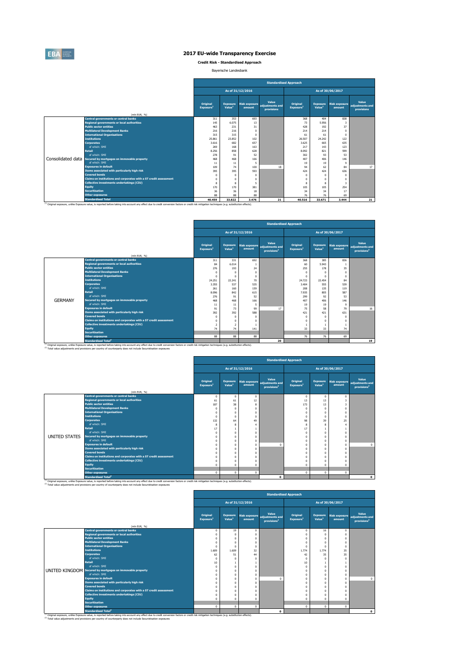

**Credit Risk - Standardised Approach**

Bayerische Landesbank

|                   |                                                                   | <b>Standardised Approach</b>         |                                       |                                |                                        |                                   |                                       |                                |                                        |  |  |
|-------------------|-------------------------------------------------------------------|--------------------------------------|---------------------------------------|--------------------------------|----------------------------------------|-----------------------------------|---------------------------------------|--------------------------------|----------------------------------------|--|--|
|                   |                                                                   | As of 31/12/2016<br>As of 30/06/2017 |                                       |                                |                                        |                                   |                                       |                                |                                        |  |  |
|                   | (mln EUR, %)                                                      | Original<br>Exposure <sup>1</sup>    | <b>Exposure</b><br>Value <sup>1</sup> | <b>Risk exposure</b><br>amount | Value<br>adjustments and<br>provisions | Original<br>Exposure <sup>1</sup> | <b>Exposure</b><br>Value <sup>1</sup> | <b>Risk exposure</b><br>amount | Value<br>adiustments and<br>provisions |  |  |
|                   | <b>Central governments or central banks</b>                       | 311                                  | 353                                   | 693                            |                                        | 368                               | 404                                   | 838                            |                                        |  |  |
|                   | <b>Regional governments or local authorities</b>                  | 145                                  | 6.075                                 | 13                             |                                        | 73                                | 5.956                                 | 3                              |                                        |  |  |
|                   | <b>Public sector entities</b>                                     | 463                                  | 231                                   | 31                             |                                        | 428                               | 192                                   | 37                             |                                        |  |  |
|                   | <b>Multilateral Development Banks</b>                             | 216                                  | 216                                   | $\Omega$                       |                                        | 214                               | 214                                   | $\Omega$                       |                                        |  |  |
|                   | <b>International Organisations</b>                                | 315                                  | 315                                   | $\Omega$                       |                                        | 61                                | 61                                    | $\Omega$                       |                                        |  |  |
|                   | <b>Institutions</b>                                               | 25,861                               | 23,852                                | 102                            |                                        | 26.507                            | 24.242                                | 122                            |                                        |  |  |
|                   | <b>Corporates</b>                                                 | 3.616                                | 682                                   | 657                            |                                        | 3.625                             | 665                                   | 635                            |                                        |  |  |
|                   | of which: SME                                                     | 269                                  | 168                                   | 163                            |                                        | 217                               | 143                                   | 123                            |                                        |  |  |
|                   | <b>Retail</b>                                                     | 8.256                                | 858                                   | 628                            |                                        | 8.092                             | 821                                   | 599                            |                                        |  |  |
|                   | of which: SMF                                                     | 278                                  | Q1                                    | 52                             |                                        | 302                               | 93                                    | 53                             |                                        |  |  |
| Consolidated data | Secured by mortgages on immovable property                        | 468                                  | 468                                   | 166                            |                                        | 407                               | 406                                   | 146                            |                                        |  |  |
|                   | of which: SMF                                                     | 11                                   | 11                                    | 5                              |                                        | 19                                | 19                                    | $\overline{9}$                 |                                        |  |  |
|                   | <b>Exposures in default</b>                                       | 109                                  | 74                                    | 100                            | 18                                     | 94                                | 62                                    | 84                             | 17                                     |  |  |
|                   | Items associated with particularly high risk                      | 395                                  | 395                                   | 593                            |                                        | 424                               | 424                                   | 636                            |                                        |  |  |
|                   | <b>Covered bonds</b>                                              | $\Omega$                             | $\Omega$                              | $\Omega$                       |                                        |                                   | $\Omega$                              | $^{\circ}$                     |                                        |  |  |
|                   | Claims on institutions and corporates with a ST credit assessment | n                                    | $\Omega$                              | $\mathbf{0}$                   |                                        |                                   | $\Omega$                              | $\mathbf{0}$                   |                                        |  |  |
|                   | <b>Collective investments undertakings (CIU)</b>                  | 8                                    | 8                                     | 5                              |                                        | 8                                 | 8                                     | $\overline{\mathbf{3}}$        |                                        |  |  |
|                   | <b>Equity</b>                                                     | 170                                  | 170                                   | 381                            |                                        | 105                               | 105                                   | 254                            |                                        |  |  |
|                   | <b>Securitisation</b>                                             | 36                                   | 36                                    | 18                             |                                        | 34                                | 34                                    | 17                             |                                        |  |  |
|                   | <b>Other exposures</b>                                            | 88                                   | 88                                    | 88                             |                                        | 76                                | 76                                    | 69                             |                                        |  |  |
|                   | <b>Standardised Total</b>                                         | 40.459                               | 33.822                                | 3.476                          | 21                                     | 40.516                            | 33.671                                | 3.444                          | 21                                     |  |  |

|                |                                                                   |                                          | <b>Standardised Approach</b>          |                                |                                                     |                                          |                                       |                                |                                                     |  |  |  |
|----------------|-------------------------------------------------------------------|------------------------------------------|---------------------------------------|--------------------------------|-----------------------------------------------------|------------------------------------------|---------------------------------------|--------------------------------|-----------------------------------------------------|--|--|--|
|                |                                                                   |                                          | As of 31/12/2016<br>As of 30/06/2017  |                                |                                                     |                                          |                                       |                                |                                                     |  |  |  |
|                | (mln EUR, %)                                                      | <b>Original</b><br>Exposure <sup>1</sup> | <b>Exposure</b><br>Value <sup>1</sup> | <b>Risk exposure</b><br>amount | Value<br>adjustments and<br>provisions <sup>2</sup> | <b>Original</b><br>Exposure <sup>1</sup> | <b>Exposure</b><br>Value <sup>1</sup> | <b>Risk exposure</b><br>amount | Value<br>adjustments and<br>provisions <sup>2</sup> |  |  |  |
|                | <b>Central governments or central banks</b>                       | 311                                      | 331                                   | 692                            |                                                     | 368                                      | 385                                   | 836                            |                                                     |  |  |  |
|                | <b>Regional governments or local authorities</b>                  | 84                                       | 6.014                                 |                                |                                                     | 60                                       | 5.943                                 |                                |                                                     |  |  |  |
|                | <b>Public sector entities</b>                                     | 276                                      | 193                                   | 24                             |                                                     | 255                                      | 178                                   | 35                             |                                                     |  |  |  |
|                | <b>Multilateral Development Banks</b>                             |                                          | $\Omega$                              | $^{\circ}$                     |                                                     |                                          |                                       | $\mathbf 0$                    |                                                     |  |  |  |
|                | <b>International Organisations</b>                                |                                          | n                                     | $\mathbf{0}$                   |                                                     |                                          |                                       | $\mathbf 0$                    |                                                     |  |  |  |
|                | <b>Institutions</b>                                               | 24.251                                   | 22.241                                | 70                             |                                                     | 24,723                                   | 22.454                                | 84                             |                                                     |  |  |  |
|                | <b>Corporates</b>                                                 | 3.355                                    | 537                                   | 535                            |                                                     | 3,404                                    | 555                                   | 539                            |                                                     |  |  |  |
|                | of which: SMF                                                     | 261                                      | 160                                   | 159                            |                                                     | 208                                      | 135                                   | 119                            |                                                     |  |  |  |
|                | <b>Retail</b>                                                     | 8.096                                    | 842                                   | 615                            |                                                     | 7.935                                    | 805                                   | 587                            |                                                     |  |  |  |
|                | of which: SMF                                                     | 276                                      | Q1                                    | 52                             |                                                     | 299                                      | 92                                    | 53                             |                                                     |  |  |  |
| <b>GERMANY</b> | Secured by mortgages on immovable property                        | 468                                      | 468                                   | 166                            |                                                     | 407                                      | 406                                   | 146                            |                                                     |  |  |  |
|                | of which: SMF                                                     | 11                                       | 11                                    | 5                              |                                                     | 19                                       | 19                                    | $\mathsf q$                    |                                                     |  |  |  |
|                | <b>Exposures in default</b>                                       | 91                                       | 73                                    | 99                             | 17                                                  | 75                                       | 58                                    | 79                             | 16                                                  |  |  |  |
|                | Items associated with particularly high risk                      | 392                                      | 392                                   | 588                            |                                                     | 421                                      | 421                                   | 631                            |                                                     |  |  |  |
|                | <b>Covered bonds</b>                                              |                                          | $\Omega$                              | $\Omega$                       |                                                     |                                          |                                       | $\mathbf 0$                    |                                                     |  |  |  |
|                | Claims on institutions and corporates with a ST credit assessment |                                          | $\Omega$                              | $^{\circ}$                     |                                                     |                                          | $\Omega$                              | $\Omega$                       |                                                     |  |  |  |
|                | <b>Collective investments undertakings (CIU)</b>                  |                                          |                                       |                                |                                                     |                                          |                                       | $\mathbf{1}$                   |                                                     |  |  |  |
|                | <b>Equity</b>                                                     | 74                                       | 74                                    | 141                            |                                                     | 33                                       | 33                                    | 74                             |                                                     |  |  |  |
|                | <b>Securitisation</b>                                             |                                          |                                       |                                |                                                     |                                          |                                       |                                |                                                     |  |  |  |
|                | <b>Other exposures</b>                                            | 88                                       | 88                                    | 88                             |                                                     | 76                                       | 76                                    | 69                             |                                                     |  |  |  |
|                | <b>Standardised Total<sup>2</sup></b>                             |                                          |                                       |                                | 20                                                  |                                          |                                       |                                | 19                                                  |  |  |  |

|               |                                                                   | <b>Standardised Approach</b>         |                                       |              |                                                                   |                                   |                                       |                                |                                                     |  |  |
|---------------|-------------------------------------------------------------------|--------------------------------------|---------------------------------------|--------------|-------------------------------------------------------------------|-----------------------------------|---------------------------------------|--------------------------------|-----------------------------------------------------|--|--|
|               |                                                                   | As of 31/12/2016<br>As of 30/06/2017 |                                       |              |                                                                   |                                   |                                       |                                |                                                     |  |  |
|               | (mln EUR, %)                                                      | Original<br>Exposure <sup>1</sup>    | <b>Exposure</b><br>Value <sup>1</sup> | amount       | Value<br>Risk exposure adjustments and<br>provisions <sup>2</sup> | Original<br>Exposure <sup>1</sup> | <b>Exposure</b><br>Value <sup>1</sup> | <b>Risk exposure</b><br>amount | Value<br>adjustments and<br>provisions <sup>2</sup> |  |  |
|               | <b>Central governments or central banks</b>                       | $^{\circ}$                           | $\mathbf{0}$                          | $\mathbf{0}$ |                                                                   | $\Omega$                          | $\mathbf{0}$                          | $\mathbf{0}$                   |                                                     |  |  |
|               | <b>Regional governments or local authorities</b>                  | 61                                   | 61                                    | 12           |                                                                   | 13                                | 13                                    | $\overline{\mathbf{3}}$        |                                                     |  |  |
|               | <b>Public sector entities</b>                                     | 187                                  | 38                                    | 8            |                                                                   | 173                               | 13                                    | $\overline{\mathbf{3}}$        |                                                     |  |  |
|               | <b>Multilateral Development Banks</b>                             | $\Omega$                             | $\Omega$                              | $\mathbf 0$  |                                                                   |                                   | $^{\circ}$                            | $\mathbf{0}$                   |                                                     |  |  |
|               | <b>International Organisations</b>                                | $\Omega$                             | $\Omega$                              | $\mathbf{0}$ |                                                                   |                                   | $\Omega$                              | $\mathbf 0$                    |                                                     |  |  |
|               | <b>Institutions</b>                                               | $\mathbf 0$                          | $\Omega$                              | $\mathbf 0$  |                                                                   |                                   | $^{\circ}$                            | $\mathbf{0}$                   |                                                     |  |  |
|               | <b>Corporates</b>                                                 | 132                                  | 64                                    | 49           |                                                                   | 98                                | 39                                    | 25                             |                                                     |  |  |
|               | of which: SME                                                     | 8                                    | 8                                     | 4            |                                                                   | 8                                 | 8                                     | 4                              |                                                     |  |  |
|               | <b>Retail</b>                                                     | 17                                   |                                       |              |                                                                   | 17                                |                                       | $\mathbf{1}$                   |                                                     |  |  |
|               | of which: SMF                                                     | $\Omega$                             | $\Omega$                              | $\mathbf 0$  |                                                                   |                                   | $\Omega$                              | $\Omega$                       |                                                     |  |  |
| UNITED STATES | Secured by mortgages on immovable property                        | $\Omega$                             | $\Omega$                              | $\mathbf 0$  |                                                                   |                                   | $^{\circ}$                            | $\Omega$                       |                                                     |  |  |
|               | of which: SME                                                     | n                                    | $\Omega$                              | $\mathbf 0$  |                                                                   |                                   | $\Omega$                              | $\Omega$                       |                                                     |  |  |
|               | <b>Exposures in default</b>                                       | n                                    | $\Omega$                              | $\mathbf 0$  | $\Omega$                                                          |                                   | $\Omega$                              | $\Omega$                       | $\mathbf{0}$                                        |  |  |
|               | Items associated with particularly high risk                      |                                      | $\Omega$                              | $\mathbf 0$  |                                                                   |                                   | $^{\circ}$                            | $\Omega$                       |                                                     |  |  |
|               | <b>Covered bonds</b>                                              |                                      | $\Omega$                              | $\mathbf 0$  |                                                                   |                                   | $\Omega$                              | $\Omega$                       |                                                     |  |  |
|               | Claims on institutions and corporates with a ST credit assessment |                                      | $\Omega$                              | $\mathbf 0$  |                                                                   |                                   | $\Omega$                              | $\Omega$                       |                                                     |  |  |
|               | <b>Collective investments undertakings (CIU)</b>                  | n                                    | $\Omega$                              | $\mathbf{0}$ |                                                                   |                                   | $\Omega$                              | $\Omega$                       |                                                     |  |  |
|               | <b>Equity</b>                                                     | $\Omega$                             | $\Omega$                              | $\mathbf 0$  |                                                                   |                                   | $\Omega$                              | $\theta$                       |                                                     |  |  |
|               | <b>Securitisation</b>                                             |                                      |                                       |              |                                                                   |                                   |                                       |                                |                                                     |  |  |
|               | <b>Other exposures</b>                                            | $\Omega$                             | $^{\circ}$                            | $\mathbf{0}$ |                                                                   | $\Omega$                          | $\mathbf{0}$                          | $\mathbf{0}$                   |                                                     |  |  |
|               | <b>Standardised Total<sup>2</sup></b>                             |                                      |                                       |              | $\mathbf{0}$                                                      |                                   |                                       |                                | $\mathbf{o}$                                        |  |  |

<sup>10</sup> Original exposure, unlike Exposure was benefited between large effect due to creat conversion factors or creat risk mitigation techniques (e.g. substitution effects).<br><sup>27</sup> Total value adjustments and provisions per co

|                                                                                                                                                                                                                                                                                                                                    | <b>Standardised Approach</b>         |                                       |                                |                                                     |                                   |                                       |                                |                                                     |  |
|------------------------------------------------------------------------------------------------------------------------------------------------------------------------------------------------------------------------------------------------------------------------------------------------------------------------------------|--------------------------------------|---------------------------------------|--------------------------------|-----------------------------------------------------|-----------------------------------|---------------------------------------|--------------------------------|-----------------------------------------------------|--|
|                                                                                                                                                                                                                                                                                                                                    | As of 31/12/2016<br>As of 30/06/2017 |                                       |                                |                                                     |                                   |                                       |                                |                                                     |  |
| (mln EUR. %)                                                                                                                                                                                                                                                                                                                       | Original<br>Exposure <sup>1</sup>    | <b>Exposure</b><br>Value <sup>1</sup> | <b>Risk exposure</b><br>amount | Value<br>adiustments and<br>provisions <sup>2</sup> | Original<br>Exposure <sup>1</sup> | <b>Exposure</b><br>Value <sup>1</sup> | <b>Risk exposure</b><br>amount | Value<br>adjustments and<br>provisions <sup>2</sup> |  |
| <b>Central governments or central banks</b>                                                                                                                                                                                                                                                                                        |                                      | 19                                    | $\mathbf{0}$                   |                                                     |                                   | 16                                    | $\mathbf{0}$                   |                                                     |  |
| <b>Regional governments or local authorities</b>                                                                                                                                                                                                                                                                                   |                                      | $\Omega$                              | $\Omega$                       |                                                     |                                   |                                       | $\Omega$                       |                                                     |  |
| <b>Public sector entities</b>                                                                                                                                                                                                                                                                                                      |                                      | C                                     | $\mathbf{0}$                   |                                                     |                                   | $\Omega$                              | $\Omega$                       |                                                     |  |
| <b>Multilateral Development Banks</b>                                                                                                                                                                                                                                                                                              |                                      | C                                     | $\mathbf 0$                    |                                                     |                                   | $\Omega$                              | $\Omega$                       |                                                     |  |
| <b>International Organisations</b>                                                                                                                                                                                                                                                                                                 |                                      | $\Omega$                              | $\Omega$                       |                                                     |                                   |                                       | $\Omega$                       |                                                     |  |
| <b>Institutions</b>                                                                                                                                                                                                                                                                                                                | 1.609                                | 1,609                                 | 32                             |                                                     | 1.774                             | 1.774                                 | 35                             |                                                     |  |
| <b>Corporates</b>                                                                                                                                                                                                                                                                                                                  | 62                                   | 51                                    | 44                             |                                                     | 42                                | 35                                    | 35                             |                                                     |  |
| of which: SME                                                                                                                                                                                                                                                                                                                      |                                      | $\Omega$                              | $\mathbf{0}$                   |                                                     |                                   | $\Omega$                              | $\Omega$                       |                                                     |  |
| <b>Retail</b>                                                                                                                                                                                                                                                                                                                      | 10                                   |                                       | $\mathbf{1}$                   |                                                     | 10                                |                                       | $\mathbf{1}$                   |                                                     |  |
| of which: SME                                                                                                                                                                                                                                                                                                                      |                                      | O                                     | $\Omega$                       |                                                     |                                   | $\Omega$                              | O                              |                                                     |  |
| UNITED KINGDOM Secured by mortgages on immovable property                                                                                                                                                                                                                                                                          |                                      | n                                     | $\Omega$                       |                                                     |                                   | $\Omega$                              | $\Omega$                       |                                                     |  |
| of which: SME                                                                                                                                                                                                                                                                                                                      |                                      | O                                     | $\mathbf 0$                    |                                                     |                                   | $\Omega$                              | $\mathbf{0}$                   |                                                     |  |
| <b>Exposures in default</b>                                                                                                                                                                                                                                                                                                        |                                      | $\Omega$                              | $\mathbf 0$                    | $\Omega$                                            |                                   | $\Omega$                              | $\theta$                       | $\Omega$                                            |  |
| Items associated with particularly high risk                                                                                                                                                                                                                                                                                       |                                      | O                                     | $\Omega$                       |                                                     |                                   | $\Omega$                              | $\Omega$                       |                                                     |  |
| <b>Covered bonds</b>                                                                                                                                                                                                                                                                                                               |                                      | O                                     | $\Omega$                       |                                                     |                                   | $\Omega$                              | $\Omega$                       |                                                     |  |
| Claims on institutions and corporates with a ST credit assessment                                                                                                                                                                                                                                                                  |                                      | O                                     | $\Omega$                       |                                                     |                                   | $\Omega$                              | O                              |                                                     |  |
| <b>Collective investments undertakings (CIU)</b>                                                                                                                                                                                                                                                                                   |                                      |                                       | $\Omega$                       |                                                     |                                   | $\Omega$                              | $\Omega$                       |                                                     |  |
| <b>Equity</b>                                                                                                                                                                                                                                                                                                                      |                                      |                                       | $\Omega$                       |                                                     |                                   | $\Omega$                              | $\Omega$                       |                                                     |  |
| <b>Securitisation</b>                                                                                                                                                                                                                                                                                                              |                                      |                                       |                                |                                                     |                                   |                                       |                                |                                                     |  |
| <b>Other exposures</b>                                                                                                                                                                                                                                                                                                             | $\Omega$                             | $\mathbf{0}$                          | $\mathbf{0}$                   |                                                     | $\Omega$                          | $\mathbf 0$                           | $\mathbf{0}$                   |                                                     |  |
| <b>Standardised Total<sup>2</sup></b>                                                                                                                                                                                                                                                                                              |                                      |                                       |                                | $\Omega$                                            |                                   |                                       |                                | $\mathbf 0$                                         |  |
| <sup>(3)</sup> Original exposure, unlike Exposure value, is reported before taking into account any effect due to credit conversion factors or credit risk mitigation techniques (e.g. substitution effects).<br>(2) Total value adjustments and provisions per country of counterparty does not include Securistisation exposures |                                      |                                       |                                |                                                     |                                   |                                       |                                |                                                     |  |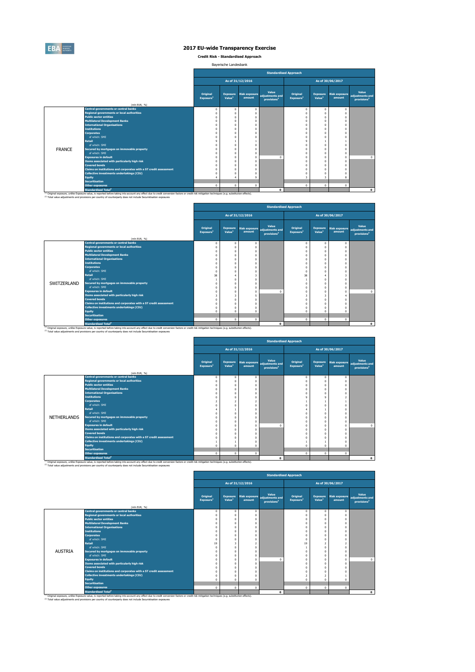

**Credit Risk - Standardised Approach**

| Bayerische Landesbank |  |
|-----------------------|--|
|-----------------------|--|

|               |                                                                                                                                                                                                                                              |                                      |                                       |                                |                                                     | <b>Standardised Approach</b>      |                                       |                                |                                                     |
|---------------|----------------------------------------------------------------------------------------------------------------------------------------------------------------------------------------------------------------------------------------------|--------------------------------------|---------------------------------------|--------------------------------|-----------------------------------------------------|-----------------------------------|---------------------------------------|--------------------------------|-----------------------------------------------------|
|               |                                                                                                                                                                                                                                              | As of 31/12/2016<br>As of 30/06/2017 |                                       |                                |                                                     |                                   |                                       |                                |                                                     |
|               | (mln EUR, %)                                                                                                                                                                                                                                 | Original<br>Exposure <sup>1</sup>    | <b>Exposure</b><br>Value <sup>1</sup> | <b>Risk exposure</b><br>amount | Value<br>adiustments and<br>provisions <sup>2</sup> | Original<br>Exposure <sup>1</sup> | <b>Exposure</b><br>Value <sup>1</sup> | <b>Risk exposure</b><br>amount | Value<br>adiustments and<br>provisions <sup>2</sup> |
|               | <b>Central governments or central banks</b>                                                                                                                                                                                                  |                                      | $\Omega$                              | $^{\circ}$                     |                                                     | $\Omega$                          | $\Omega$                              | $^{\circ}$                     |                                                     |
|               | <b>Regional governments or local authorities</b>                                                                                                                                                                                             |                                      |                                       | O                              |                                                     |                                   |                                       |                                |                                                     |
|               | <b>Public sector entities</b>                                                                                                                                                                                                                |                                      |                                       | $\Omega$                       |                                                     |                                   |                                       |                                |                                                     |
|               | <b>Multilateral Development Banks</b>                                                                                                                                                                                                        |                                      |                                       | $\Omega$                       |                                                     |                                   |                                       | $\Omega$                       |                                                     |
|               | <b>International Organisations</b>                                                                                                                                                                                                           |                                      |                                       | O                              |                                                     |                                   |                                       |                                |                                                     |
|               | <b>Institutions</b>                                                                                                                                                                                                                          |                                      |                                       | O                              |                                                     |                                   |                                       | $\Omega$                       |                                                     |
|               | <b>Corporates</b>                                                                                                                                                                                                                            |                                      |                                       | $\Omega$                       |                                                     |                                   |                                       |                                |                                                     |
|               | of which: SME                                                                                                                                                                                                                                |                                      |                                       | $\Omega$                       |                                                     |                                   |                                       |                                |                                                     |
|               | <b>Retail</b>                                                                                                                                                                                                                                |                                      |                                       |                                |                                                     |                                   |                                       |                                |                                                     |
|               | of which: SME                                                                                                                                                                                                                                |                                      |                                       | $\theta$                       |                                                     |                                   |                                       |                                |                                                     |
| <b>FRANCE</b> | Secured by mortgages on immovable property                                                                                                                                                                                                   |                                      |                                       | $\mathbf{0}$                   |                                                     |                                   |                                       |                                |                                                     |
|               | of which: SME                                                                                                                                                                                                                                |                                      |                                       | $\Omega$                       |                                                     |                                   |                                       | $\Omega$                       |                                                     |
|               | <b>Exposures in default</b>                                                                                                                                                                                                                  |                                      |                                       | $\Omega$                       | $\sqrt{2}$                                          |                                   |                                       |                                | $\circ$                                             |
|               | Items associated with particularly high risk                                                                                                                                                                                                 |                                      |                                       | $\theta$                       |                                                     |                                   |                                       |                                |                                                     |
|               | <b>Covered bonds</b>                                                                                                                                                                                                                         |                                      |                                       | $\Omega$                       |                                                     |                                   |                                       |                                |                                                     |
|               | Claims on institutions and corporates with a ST credit assessment                                                                                                                                                                            |                                      |                                       | O                              |                                                     |                                   |                                       |                                |                                                     |
|               | <b>Collective investments undertakings (CIU)</b>                                                                                                                                                                                             |                                      |                                       | n                              |                                                     |                                   |                                       |                                |                                                     |
|               | <b>Equity</b>                                                                                                                                                                                                                                |                                      |                                       | q                              |                                                     |                                   | 3                                     | 8                              |                                                     |
|               | <b>Securitisation</b>                                                                                                                                                                                                                        |                                      |                                       |                                |                                                     |                                   |                                       |                                |                                                     |
|               | <b>Other exposures</b>                                                                                                                                                                                                                       | $\Omega$                             | $\mathbf{0}$                          | $\Omega$                       |                                                     | $\mathbf{0}$                      | $\mathbf 0$                           | $\mathbf 0$                    |                                                     |
|               | <b>Standardised Total<sup>2</sup></b><br>(i) Okieland currencium unlike Europeum unlike in proported before taking into account any offert due to coold computering factors or coold sick mitigation tochologies (a a cubetitution offerts). |                                      |                                       |                                | $\Omega$                                            |                                   |                                       |                                | $\Omega$                                            |

<sup>(1)</sup> Original exposure, unlike Exposure value, is reported before taking into account any effect due to credit conversion factors or credit risk mitigation techniques (e.g. substitution effects).<br><sup>(2)</sup> Total value adjustm

|             |                                                                                                                                                                                                               |                                          |                                       |                                |                                                     | <b>Standardised Approach</b>      |                                       |                                |                                                     |
|-------------|---------------------------------------------------------------------------------------------------------------------------------------------------------------------------------------------------------------|------------------------------------------|---------------------------------------|--------------------------------|-----------------------------------------------------|-----------------------------------|---------------------------------------|--------------------------------|-----------------------------------------------------|
|             |                                                                                                                                                                                                               |                                          |                                       | As of 31/12/2016               |                                                     |                                   |                                       | As of 30/06/2017               |                                                     |
|             | (mln EUR, %)                                                                                                                                                                                                  | <b>Original</b><br>Exposure <sup>1</sup> | <b>Exposure</b><br>Value <sup>1</sup> | <b>Risk exposure</b><br>amount | Value<br>adiustments and<br>provisions <sup>2</sup> | Original<br>Exposure <sup>1</sup> | <b>Exposure</b><br>Value <sup>1</sup> | <b>Risk exposure</b><br>amount | Value<br>adiustments and<br>provisions <sup>2</sup> |
|             | <b>Central governments or central banks</b>                                                                                                                                                                   | $\Omega$                                 | $\Omega$                              | $\mathbf{0}$                   |                                                     |                                   | $\Omega$                              | $\mathbf{0}$                   |                                                     |
|             | <b>Regional governments or local authorities</b>                                                                                                                                                              | $\Omega$                                 |                                       | $\theta$                       |                                                     |                                   |                                       | $\Omega$                       |                                                     |
|             | <b>Public sector entities</b>                                                                                                                                                                                 |                                          |                                       | $\mathbf{0}$                   |                                                     |                                   | $\Omega$                              | $\Omega$                       |                                                     |
|             | <b>Multilateral Development Banks</b>                                                                                                                                                                         |                                          |                                       | $\mathbf{0}$                   |                                                     |                                   | $\Omega$                              | $\Omega$                       |                                                     |
|             | <b>International Organisations</b>                                                                                                                                                                            |                                          |                                       | 0                              |                                                     |                                   | $\Omega$                              | $\Omega$                       |                                                     |
|             | <b>Institutions</b>                                                                                                                                                                                           |                                          |                                       | $\mathbf 0$                    |                                                     |                                   | $\Omega$                              | $\Omega$                       |                                                     |
|             | <b>Corporates</b>                                                                                                                                                                                             |                                          |                                       | $\mathbf{0}$                   |                                                     |                                   | $\Omega$                              | $\Omega$                       |                                                     |
|             | of which: SMF                                                                                                                                                                                                 | $\Omega$                                 |                                       | $\mathbf{0}$                   |                                                     |                                   | $\Omega$                              | $\Omega$                       |                                                     |
|             | Retail                                                                                                                                                                                                        | 38                                       |                                       | 3                              |                                                     | 38                                |                                       | 3                              |                                                     |
|             | of which: SMF                                                                                                                                                                                                 |                                          |                                       | $\mathbf{0}$                   |                                                     |                                   | $\Omega$                              | $\Omega$                       |                                                     |
| SWITZERLAND | Secured by mortgages on immovable property                                                                                                                                                                    |                                          |                                       | $\mathbf{0}$                   |                                                     |                                   | $\Omega$                              | $\Omega$                       |                                                     |
|             | of which: SME                                                                                                                                                                                                 |                                          |                                       | $\Omega$                       |                                                     |                                   | $\Omega$                              | $\Omega$                       |                                                     |
|             | <b>Exposures in default</b>                                                                                                                                                                                   |                                          |                                       | $\mathbf{0}$                   | $\Omega$                                            |                                   | $\Omega$                              | $\Omega$                       | $\mathbf{0}$                                        |
|             | Items associated with particularly high risk                                                                                                                                                                  |                                          | 3                                     | 5                              |                                                     |                                   | 3                                     | 4                              |                                                     |
|             | <b>Covered bonds</b>                                                                                                                                                                                          |                                          |                                       | O                              |                                                     |                                   | $\Omega$                              | $\Omega$                       |                                                     |
|             | Claims on institutions and corporates with a ST credit assessment                                                                                                                                             |                                          |                                       | O                              |                                                     |                                   | $\Omega$                              | $\Omega$                       |                                                     |
|             | <b>Collective investments undertakings (CIU)</b>                                                                                                                                                              |                                          |                                       | O                              |                                                     |                                   |                                       | $\Omega$                       |                                                     |
|             | <b>Equity</b>                                                                                                                                                                                                 |                                          |                                       | O                              |                                                     |                                   | $\Omega$                              | $\Omega$                       |                                                     |
|             | <b>Securitisation</b>                                                                                                                                                                                         |                                          |                                       |                                |                                                     |                                   |                                       |                                |                                                     |
|             | <b>Other exposures</b>                                                                                                                                                                                        | $\Omega$                                 | $\mathbf 0$                           | $\mathbf{0}$                   |                                                     | $\Omega$                          | $\mathbf 0$                           | $\mathbf{0}$                   |                                                     |
|             | <b>Standardised Total<sup>2</sup></b>                                                                                                                                                                         |                                          |                                       |                                | $\mathbf{0}$                                        |                                   |                                       |                                | $\mathbf 0$                                         |
|             | <sup>(1)</sup> Original exposure, unlike Exposure value, is reported before taking into account any effect due to credit conversion factors or credit risk mitigation techniques (e.g. substitution effects). |                                          |                                       |                                |                                                     |                                   |                                       |                                |                                                     |
|             | (2) Total value adjustments and provisions per country of counterparty does not include Securistisation exposures                                                                                             |                                          |                                       |                                |                                                     |                                   |                                       |                                |                                                     |

|                    |                                                                   |                                   |                                       |                                |                                                     | <b>Standardised Approach</b>             |                                       |                                |                                                     |
|--------------------|-------------------------------------------------------------------|-----------------------------------|---------------------------------------|--------------------------------|-----------------------------------------------------|------------------------------------------|---------------------------------------|--------------------------------|-----------------------------------------------------|
|                    |                                                                   |                                   |                                       | As of 31/12/2016               |                                                     |                                          |                                       | As of 30/06/2017               |                                                     |
|                    | (mln EUR. %)                                                      | Original<br>Exposure <sup>1</sup> | <b>Exposure</b><br>Value <sup>1</sup> | <b>Risk exposure</b><br>amount | Value<br>adjustments and<br>provisions <sup>2</sup> | <b>Original</b><br>Exposure <sup>1</sup> | <b>Exposure</b><br>Value <sup>1</sup> | <b>Risk exposure</b><br>amount | Value<br>adiustments and<br>provisions <sup>2</sup> |
|                    | <b>Central governments or central banks</b>                       |                                   | $^{\circ}$                            | $\mathbf{0}$                   |                                                     |                                          | $\Omega$                              | $\mathbf{0}$                   |                                                     |
|                    | <b>Regional governments or local authorities</b>                  |                                   | O                                     | $\Omega$                       |                                                     |                                          | $\Omega$                              | $\Omega$                       |                                                     |
|                    | <b>Public sector entities</b>                                     |                                   | O                                     | $\Omega$                       |                                                     |                                          | $\Omega$                              | $\theta$                       |                                                     |
|                    | <b>Multilateral Development Banks</b>                             |                                   | O                                     | $\mathbf{0}$                   |                                                     |                                          | $\Omega$                              | $\theta$                       |                                                     |
|                    | <b>International Organisations</b>                                |                                   | O                                     | $\Omega$                       |                                                     |                                          | $\Omega$                              | $\Omega$                       |                                                     |
|                    | <b>Institutions</b>                                               |                                   | O                                     | $\mathbf{0}$                   |                                                     |                                          | ۹                                     | $\overline{\phantom{a}}$       |                                                     |
|                    | <b>Corporates</b>                                                 |                                   |                                       | $\overline{2}$                 |                                                     |                                          |                                       |                                |                                                     |
|                    | of which: SMF                                                     |                                   | O                                     | $\Omega$                       |                                                     |                                          | $\Omega$                              | O                              |                                                     |
|                    | <b>Retail</b>                                                     |                                   |                                       | $\mathbf{0}$                   |                                                     |                                          |                                       | $\theta$                       |                                                     |
|                    | of which: SME                                                     |                                   | $\Omega$                              | $\Omega$                       |                                                     |                                          | $\Omega$                              | $\theta$                       |                                                     |
| <b>NETHERLANDS</b> | Secured by mortgages on immovable property                        |                                   | O                                     | $\Omega$                       |                                                     |                                          | $\Omega$                              | $\Omega$                       |                                                     |
|                    | of which: SME                                                     |                                   | O                                     | $\mathbf{0}$                   |                                                     |                                          | $\Omega$                              | $\Omega$                       |                                                     |
|                    | <b>Exposures in default</b>                                       |                                   | O                                     | $\mathbf{0}$                   | $\Omega$                                            |                                          | $\Omega$                              | $\theta$                       | $\Omega$                                            |
|                    | Items associated with particularly high risk                      |                                   | n                                     | $\Omega$                       |                                                     |                                          | $\Omega$                              | $\Omega$                       |                                                     |
|                    | <b>Covered bonds</b>                                              |                                   | $\Omega$                              | $\mathbf{0}$                   |                                                     |                                          | $\Omega$                              | $\theta$                       |                                                     |
|                    | Claims on institutions and corporates with a ST credit assessment |                                   | Ò                                     | $\mathbf 0$                    |                                                     |                                          | $\Omega$                              | $\Omega$                       |                                                     |
|                    | <b>Collective investments undertakings (CIU)</b>                  |                                   |                                       | $\Omega$                       |                                                     |                                          |                                       | $\Omega$                       |                                                     |
|                    | <b>Equity</b>                                                     |                                   | O                                     | $\Omega$                       |                                                     |                                          | $\Omega$                              | $\Omega$                       |                                                     |
|                    | <b>Securitisation</b>                                             |                                   |                                       |                                |                                                     |                                          |                                       |                                |                                                     |
|                    | <b>Other exposures</b>                                            | $\Omega$                          | $\mathbf{0}$                          | $\mathbf{0}$                   |                                                     | $\Omega$                                 | $^{\circ}$                            | $\mathbf{0}$                   |                                                     |
|                    | <b>Standardised Total<sup>2</sup></b>                             |                                   |                                       |                                | $\Omega$                                            |                                          |                                       |                                | 0                                                   |

|                |                                                                   |                                   |                                       |                          |                                                                   | <b>Standardised Approach</b>      |                                       |                                |                                                     |
|----------------|-------------------------------------------------------------------|-----------------------------------|---------------------------------------|--------------------------|-------------------------------------------------------------------|-----------------------------------|---------------------------------------|--------------------------------|-----------------------------------------------------|
|                |                                                                   |                                   |                                       | As of 31/12/2016         |                                                                   |                                   |                                       | As of 30/06/2017               |                                                     |
|                |                                                                   | Original<br>Exposure <sup>1</sup> | <b>Exposure</b><br>Value <sup>1</sup> | amount                   | Value<br>Risk exposure adjustments and<br>provisions <sup>2</sup> | Original<br>Exposure <sup>1</sup> | <b>Exposure</b><br>Value <sup>1</sup> | <b>Risk exposure</b><br>amount | Value<br>adiustments and<br>provisions <sup>2</sup> |
|                | (mln EUR, %)<br><b>Central governments or central banks</b>       |                                   |                                       |                          |                                                                   |                                   |                                       |                                |                                                     |
|                | <b>Regional governments or local authorities</b>                  |                                   | $\Omega$                              | $\mathbf{0}$<br>$\Omega$ |                                                                   | $\Omega$                          | $^{\circ}$<br>$\Omega$                | $\mathbf{0}$<br>$\Omega$       |                                                     |
|                | <b>Public sector entities</b>                                     |                                   |                                       | $\Omega$                 |                                                                   |                                   | $\Omega$                              |                                |                                                     |
|                | <b>Multilateral Development Banks</b>                             |                                   |                                       | $\Omega$                 |                                                                   |                                   | $\Omega$                              | $\Omega$<br>O                  |                                                     |
|                | <b>International Organisations</b>                                |                                   |                                       | $\Omega$                 |                                                                   |                                   | $\Omega$                              |                                |                                                     |
|                | <b>Institutions</b>                                               |                                   |                                       | $\Omega$                 |                                                                   |                                   | $\Omega$                              |                                |                                                     |
|                | <b>Corporates</b>                                                 |                                   |                                       | $\Omega$                 |                                                                   |                                   | $\Omega$                              | n                              |                                                     |
|                | of which: SMF                                                     |                                   |                                       | $\Omega$                 |                                                                   | $\Omega$                          | $\Omega$                              |                                |                                                     |
|                | <b>Retail</b>                                                     | 19                                |                                       | $\overline{2}$           |                                                                   | 19                                | $\overline{z}$                        | $\overline{\phantom{a}}$       |                                                     |
|                | of which: SMF                                                     |                                   |                                       | $\Omega$                 |                                                                   |                                   | $\Omega$                              |                                |                                                     |
| <b>AUSTRIA</b> | Secured by mortgages on immovable property                        |                                   |                                       | $\Omega$                 |                                                                   |                                   | $\Omega$                              |                                |                                                     |
|                | of which: SMF                                                     |                                   |                                       | $\mathbf 0$              |                                                                   |                                   | $\Omega$                              | $\Omega$                       |                                                     |
|                | <b>Exposures in default</b>                                       |                                   |                                       | $\Omega$                 | $\Omega$                                                          |                                   | $\Omega$                              | $\Omega$                       | $\mathbf{0}$                                        |
|                | Items associated with particularly high risk                      |                                   |                                       | $\Omega$                 |                                                                   |                                   | $\Omega$                              | O                              |                                                     |
|                | <b>Covered bonds</b>                                              |                                   |                                       |                          |                                                                   |                                   | $\Omega$                              |                                |                                                     |
|                | Claims on institutions and corporates with a ST credit assessment |                                   |                                       | $\Omega$                 |                                                                   |                                   | $\Omega$                              |                                |                                                     |
|                | <b>Collective investments undertakings (CIU)</b>                  |                                   |                                       | $\Omega$                 |                                                                   |                                   | $\overline{z}$                        |                                |                                                     |
|                | <b>Equity</b>                                                     |                                   |                                       | $\Omega$                 |                                                                   | $\Omega$                          | $\Omega$                              |                                |                                                     |
|                | <b>Securitisation</b>                                             |                                   |                                       |                          |                                                                   |                                   |                                       |                                |                                                     |
|                | <b>Other exposures</b>                                            | 0                                 | $\mathbf 0$                           | $\mathbf 0$              |                                                                   | $\mathbf 0$                       | $^{\circ}$                            | $\mathbf{0}$                   |                                                     |
|                | <b>Standardised Total<sup>2</sup></b>                             |                                   |                                       |                          | $\mathbf{0}$                                                      |                                   |                                       |                                | $\Omega$                                            |

<sup>10</sup> Original exposure, unlike Exposure valor disease taking into account any effect due to creat conversion factors or creat risk mitigation techniques (e.g. substitution effects).<br><sup>27</sup> Total value adjustments and provisi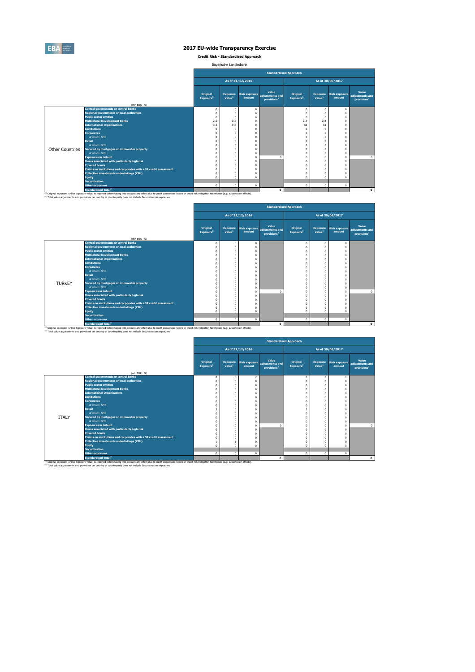

**Credit Risk - Standardised Approach**

| Bayerische Landesbank |  |
|-----------------------|--|
|-----------------------|--|

|                        |                                                                                                                                                                                                                                                                                                                                    |                                          |                                       |                                |                                                     | <b>Standardised Approach</b>      |                                       |                                |                                                     |
|------------------------|------------------------------------------------------------------------------------------------------------------------------------------------------------------------------------------------------------------------------------------------------------------------------------------------------------------------------------|------------------------------------------|---------------------------------------|--------------------------------|-----------------------------------------------------|-----------------------------------|---------------------------------------|--------------------------------|-----------------------------------------------------|
|                        |                                                                                                                                                                                                                                                                                                                                    |                                          |                                       | As of 31/12/2016               |                                                     |                                   |                                       | As of 30/06/2017               |                                                     |
|                        |                                                                                                                                                                                                                                                                                                                                    | <b>Original</b><br>Exposure <sup>1</sup> | <b>Exposure</b><br>Value <sup>1</sup> | <b>Risk exposure</b><br>amount | Value<br>adjustments and<br>provisions <sup>2</sup> | Original<br>Exposure <sup>1</sup> | <b>Exposure</b><br>Value <sup>1</sup> | <b>Risk exposure</b><br>amount | Value<br>adiustments and<br>provisions <sup>2</sup> |
|                        | (mln EUR. %)<br><b>Central governments or central banks</b>                                                                                                                                                                                                                                                                        |                                          |                                       |                                |                                                     |                                   |                                       |                                |                                                     |
|                        | <b>Regional governments or local authorities</b>                                                                                                                                                                                                                                                                                   | $\Omega$                                 | $^{\circ}$                            | $\mathbf{0}$                   |                                                     | $\Omega$                          | n                                     | $\mathbf 0$                    |                                                     |
|                        | <b>Public sector entities</b>                                                                                                                                                                                                                                                                                                      | $\Omega$<br>$\Omega$                     |                                       | $\Omega$<br>$\Omega$           |                                                     | $\Omega$                          |                                       | $\Omega$<br>$\Omega$           |                                                     |
|                        | <b>Multilateral Development Banks</b>                                                                                                                                                                                                                                                                                              | 216                                      | 216                                   | $\mathbf{0}$                   |                                                     | 214                               | 214                                   | $\Omega$                       |                                                     |
|                        | <b>International Organisations</b>                                                                                                                                                                                                                                                                                                 | 315                                      | 315                                   | $\Omega$                       |                                                     | 61                                | 61                                    | $\Omega$                       |                                                     |
|                        | <b>Institutions</b>                                                                                                                                                                                                                                                                                                                | $\Omega$                                 |                                       | $\Omega$                       |                                                     |                                   |                                       |                                |                                                     |
|                        | <b>Corporates</b>                                                                                                                                                                                                                                                                                                                  | $\Omega$                                 |                                       | $\Omega$                       |                                                     |                                   |                                       | $\Omega$                       |                                                     |
|                        | of which: SMF                                                                                                                                                                                                                                                                                                                      |                                          |                                       | $\theta$                       |                                                     |                                   |                                       | $\Omega$                       |                                                     |
|                        | <b>Retail</b>                                                                                                                                                                                                                                                                                                                      |                                          |                                       | O                              |                                                     |                                   |                                       |                                |                                                     |
|                        | of which: SMF                                                                                                                                                                                                                                                                                                                      |                                          |                                       | $\Omega$                       |                                                     |                                   |                                       |                                |                                                     |
| <b>Other Countries</b> | Secured by mortgages on immovable property                                                                                                                                                                                                                                                                                         |                                          |                                       | $\Omega$                       |                                                     |                                   |                                       | $\Omega$                       |                                                     |
|                        | of which: SME                                                                                                                                                                                                                                                                                                                      |                                          | $\Omega$                              | $\mathbf{0}$                   |                                                     |                                   |                                       | $\Omega$                       |                                                     |
|                        | <b>Exposures in default</b>                                                                                                                                                                                                                                                                                                        |                                          |                                       | $\Omega$                       | $\Omega$                                            |                                   |                                       | $\Omega$                       | $\mathbf{0}$                                        |
|                        | Items associated with particularly high risk                                                                                                                                                                                                                                                                                       |                                          |                                       | $\Omega$                       |                                                     |                                   |                                       |                                |                                                     |
|                        | <b>Covered bonds</b>                                                                                                                                                                                                                                                                                                               |                                          | $\Omega$                              | $\theta$                       |                                                     |                                   |                                       |                                |                                                     |
|                        | Claims on institutions and corporates with a ST credit assessment                                                                                                                                                                                                                                                                  |                                          |                                       | O                              |                                                     |                                   |                                       |                                |                                                     |
|                        | <b>Collective investments undertakings (CIU)</b>                                                                                                                                                                                                                                                                                   |                                          |                                       | O                              |                                                     |                                   |                                       |                                |                                                     |
|                        | <b>Equity</b>                                                                                                                                                                                                                                                                                                                      |                                          |                                       | O                              |                                                     |                                   |                                       |                                |                                                     |
|                        | <b>Securitisation</b>                                                                                                                                                                                                                                                                                                              |                                          |                                       |                                |                                                     |                                   |                                       |                                |                                                     |
|                        | <b>Other exposures</b>                                                                                                                                                                                                                                                                                                             | $\Omega$                                 | $\mathbf{0}$                          | $\mathbf{0}$                   |                                                     | $\mathbf{0}$                      | $^{\circ}$                            | $\mathbf 0$                    |                                                     |
|                        | <b>Standardised Total<sup>2</sup></b>                                                                                                                                                                                                                                                                                              |                                          |                                       |                                | $\Omega$                                            |                                   |                                       |                                | $\Omega$                                            |
|                        | <sup>(3)</sup> Original exposure, unlike Exposure value, is reported before taking into account any effect due to credit conversion factors or credit risk mitigation techniques (e.g. substitution effects).<br>(2) Total value adjustments and provisions per country of counterparty does not include Securistisation exposures |                                          |                                       |                                |                                                     |                                   |                                       |                                |                                                     |

|               |                                                                                                                                                                                                                                                                                                                                    |                                   |                                       |                                |                                                     | <b>Standardised Approach</b>      |                                       |                                |                                                     |
|---------------|------------------------------------------------------------------------------------------------------------------------------------------------------------------------------------------------------------------------------------------------------------------------------------------------------------------------------------|-----------------------------------|---------------------------------------|--------------------------------|-----------------------------------------------------|-----------------------------------|---------------------------------------|--------------------------------|-----------------------------------------------------|
|               |                                                                                                                                                                                                                                                                                                                                    |                                   |                                       | As of 31/12/2016               |                                                     |                                   |                                       | As of 30/06/2017               |                                                     |
|               | (mln EUR, %)                                                                                                                                                                                                                                                                                                                       | Original<br>Exposure <sup>1</sup> | <b>Exposure</b><br>Value <sup>1</sup> | <b>Risk exposure</b><br>amount | Value<br>adjustments and<br>provisions <sup>2</sup> | Original<br>Exposure <sup>1</sup> | <b>Exposure</b><br>Value <sup>1</sup> | <b>Risk exposure</b><br>amount | Value<br>adjustments and<br>provisions <sup>2</sup> |
|               | <b>Central governments or central banks</b>                                                                                                                                                                                                                                                                                        | $\Omega$                          | $\Omega$                              | $^{\circ}$                     |                                                     |                                   | $\Omega$                              | $\mathbf{0}$                   |                                                     |
|               | <b>Regional governments or local authorities</b>                                                                                                                                                                                                                                                                                   |                                   |                                       | $\mathbf 0$                    |                                                     |                                   |                                       | $\Omega$                       |                                                     |
|               | <b>Public sector entities</b>                                                                                                                                                                                                                                                                                                      |                                   |                                       | $^{\circ}$                     |                                                     |                                   | $\Omega$                              | $\Omega$                       |                                                     |
|               | <b>Multilateral Development Banks</b>                                                                                                                                                                                                                                                                                              |                                   |                                       | $\Omega$                       |                                                     |                                   | $\Omega$                              | $\Omega$                       |                                                     |
|               | <b>International Organisations</b>                                                                                                                                                                                                                                                                                                 |                                   |                                       | $\mathbf{0}$                   |                                                     |                                   | $\Omega$                              | $\Omega$                       |                                                     |
|               | <b>Institutions</b>                                                                                                                                                                                                                                                                                                                |                                   |                                       | $\theta$                       |                                                     |                                   | $\Omega$                              | $\Omega$                       |                                                     |
|               | <b>Corporates</b>                                                                                                                                                                                                                                                                                                                  |                                   |                                       | $\theta$                       |                                                     |                                   | $\Omega$                              | $\Omega$                       |                                                     |
|               | of which: SME                                                                                                                                                                                                                                                                                                                      |                                   |                                       | $^{\circ}$                     |                                                     |                                   | $\Omega$                              | $\Omega$                       |                                                     |
|               | <b>Retail</b>                                                                                                                                                                                                                                                                                                                      |                                   |                                       | $\mathbf{0}$                   |                                                     |                                   | $\Omega$                              | $\Omega$                       |                                                     |
|               | of which: SMF                                                                                                                                                                                                                                                                                                                      |                                   |                                       | $\mathbf{0}$                   |                                                     |                                   | $\Omega$                              | $\Omega$                       |                                                     |
| <b>TURKEY</b> | Secured by mortgages on immovable property                                                                                                                                                                                                                                                                                         |                                   |                                       | $\mathbf{0}$                   |                                                     |                                   | $\Omega$                              | $\Omega$                       |                                                     |
|               | of which: SME                                                                                                                                                                                                                                                                                                                      |                                   |                                       | $\mathbf{0}$                   |                                                     |                                   | $\Omega$                              | $\Omega$                       |                                                     |
|               | <b>Exposures in default</b>                                                                                                                                                                                                                                                                                                        |                                   |                                       | $\mathbf{0}$                   | $\Omega$                                            |                                   | $\Omega$                              | $\Omega$                       | $\mathbf{0}$                                        |
|               | Items associated with particularly high risk                                                                                                                                                                                                                                                                                       |                                   |                                       | $\theta$                       |                                                     |                                   | $\Omega$                              | $\Omega$                       |                                                     |
|               | <b>Covered bonds</b>                                                                                                                                                                                                                                                                                                               |                                   |                                       | $\theta$                       |                                                     |                                   | $\Omega$                              | $\Omega$                       |                                                     |
|               | Claims on institutions and corporates with a ST credit assessment                                                                                                                                                                                                                                                                  |                                   |                                       | 0                              |                                                     |                                   | $\Omega$                              | $\Omega$                       |                                                     |
|               | <b>Collective investments undertakings (CIU)</b>                                                                                                                                                                                                                                                                                   |                                   |                                       | O                              |                                                     |                                   |                                       | $\Omega$                       |                                                     |
|               | <b>Equity</b>                                                                                                                                                                                                                                                                                                                      |                                   |                                       | $\theta$                       |                                                     |                                   | $\Omega$                              | n                              |                                                     |
|               | <b>Securitisation</b>                                                                                                                                                                                                                                                                                                              |                                   |                                       |                                |                                                     |                                   |                                       |                                |                                                     |
|               | <b>Other exposures</b>                                                                                                                                                                                                                                                                                                             | $\Omega$                          | $^{\circ}$                            | $\mathbf{0}$                   |                                                     | $\Omega$                          | $\mathbf 0$                           | $\mathbf{0}$                   |                                                     |
|               | <b>Standardised Total<sup>2</sup></b>                                                                                                                                                                                                                                                                                              |                                   |                                       |                                | $\mathbf{0}$                                        |                                   |                                       |                                | $\mathbf 0$                                         |
|               | <sup>(1)</sup> Original exposure, unlike Exposure value, is reported before taking into account any effect due to credit conversion factors or credit risk mitigation techniques (e.g. substitution effects).<br>(2) Total value adjustments and provisions per country of counterparty does not include Securistisation exposures |                                   |                                       |                                |                                                     |                                   |                                       |                                |                                                     |

|              |                                                                                                 |                                   |                                       |                              |                                                     | <b>Standardised Approach</b>      |                                       |                                |                                                     |
|--------------|-------------------------------------------------------------------------------------------------|-----------------------------------|---------------------------------------|------------------------------|-----------------------------------------------------|-----------------------------------|---------------------------------------|--------------------------------|-----------------------------------------------------|
|              |                                                                                                 |                                   |                                       | As of 31/12/2016             |                                                     |                                   |                                       | As of 30/06/2017               |                                                     |
|              |                                                                                                 | Original<br>Exposure <sup>1</sup> | <b>Exposure</b><br>Value <sup>1</sup> | Risk exposure<br>amount      | Value<br>adjustments and<br>provisions <sup>2</sup> | Original<br>Exposure <sup>1</sup> | <b>Exposure</b><br>Value <sup>1</sup> | <b>Risk exposure</b><br>amount | Value<br>adjustments and<br>provisions <sup>2</sup> |
|              | (mln EUR. %)                                                                                    |                                   |                                       |                              |                                                     |                                   |                                       |                                |                                                     |
|              | <b>Central governments or central banks</b><br><b>Regional governments or local authorities</b> |                                   | 3                                     | $\overline{2}$               |                                                     |                                   | 3                                     | 1                              |                                                     |
|              | <b>Public sector entities</b>                                                                   |                                   | O                                     | $\mathbf{0}$                 |                                                     |                                   | $\Omega$                              | $\mathbf{0}$                   |                                                     |
|              | <b>Multilateral Development Banks</b>                                                           |                                   | $\Omega$<br>$\Omega$                  | $\mathbf{0}$<br>$\mathbf{0}$ |                                                     |                                   | $^{\circ}$<br>$\Omega$                | $\mathbf{0}$<br>$\Omega$       |                                                     |
|              | <b>International Organisations</b>                                                              |                                   | $\Omega$                              | $\mathbf{0}$                 |                                                     |                                   | $\Omega$                              | $\Omega$                       |                                                     |
|              | <b>Institutions</b>                                                                             |                                   | $\Omega$                              | $\mathbf{0}$                 |                                                     |                                   | $\mathbf 0$                           | $\Omega$                       |                                                     |
|              | <b>Corporates</b>                                                                               |                                   | $\Omega$                              | $\mathbf{0}$                 |                                                     |                                   | $\Omega$                              | $\Omega$                       |                                                     |
|              | of which: SME                                                                                   |                                   | $\Omega$                              | $\mathbf{0}$                 |                                                     |                                   | $\mathbf 0$                           | $\Omega$                       |                                                     |
|              | <b>Retail</b>                                                                                   |                                   | $\Omega$                              | $\mathbf{0}$                 |                                                     |                                   | $\Omega$                              | $\Omega$                       |                                                     |
|              | of which: SME                                                                                   |                                   | $\Omega$                              | $\mathbf{0}$                 |                                                     |                                   | $\Omega$                              | $\Omega$                       |                                                     |
| <b>ITALY</b> | Secured by mortgages on immovable property                                                      |                                   | $\Omega$                              | $\mathbf{0}$                 |                                                     |                                   | $\Omega$                              | $\Omega$                       |                                                     |
|              | of which: SME                                                                                   |                                   | $\Omega$                              | $\mathbf{0}$                 |                                                     |                                   | $\mathbf 0$                           | $\mathbf{0}$                   |                                                     |
|              | <b>Exposures in default</b>                                                                     |                                   | $\Omega$                              | $\mathbf{0}$                 | $\Omega$                                            |                                   | $\mathbf 0$                           | $\mathbf{0}$                   | $\mathbf{0}$                                        |
|              | Items associated with particularly high risk                                                    |                                   | $\Omega$                              | $\mathbf{0}$                 |                                                     |                                   | $\Omega$                              | $\Omega$                       |                                                     |
|              | <b>Covered bonds</b>                                                                            |                                   | $\Omega$                              | $\mathbf{0}$                 |                                                     |                                   | $\Omega$                              | $\Omega$                       |                                                     |
|              | Claims on institutions and corporates with a ST credit assessment                               |                                   | $\Omega$                              | $\mathbf{0}$                 |                                                     |                                   | $\Omega$                              | $\Omega$                       |                                                     |
|              | <b>Collective investments undertakings (CIU)</b>                                                |                                   |                                       | $\mathbf{0}$                 |                                                     |                                   | $\Omega$                              | O                              |                                                     |
|              | <b>Equity</b>                                                                                   |                                   | $\Omega$                              | $\mathbf{0}$                 |                                                     |                                   | $\Omega$                              | $\theta$                       |                                                     |
|              | <b>Securitisation</b>                                                                           |                                   |                                       |                              |                                                     |                                   |                                       |                                |                                                     |
|              | <b>Other exposures</b>                                                                          | $\Omega$                          | $\mathbf{0}$                          | $\mathbf{0}$                 |                                                     | $\Omega$                          | $\mathbf 0$                           | $\mathbf{0}$                   |                                                     |
|              | <b>Standardised Total<sup>2</sup></b>                                                           |                                   |                                       |                              | $\Omega$                                            |                                   |                                       |                                | $\Omega$                                            |

<sup>10</sup> Original exposure, unlike Exposure was benefited between large effect due to creat conversion factors or creat risk mitigation techniques (e.g. substitution effects).<br><sup>27</sup> Total value adjustments and provisions per co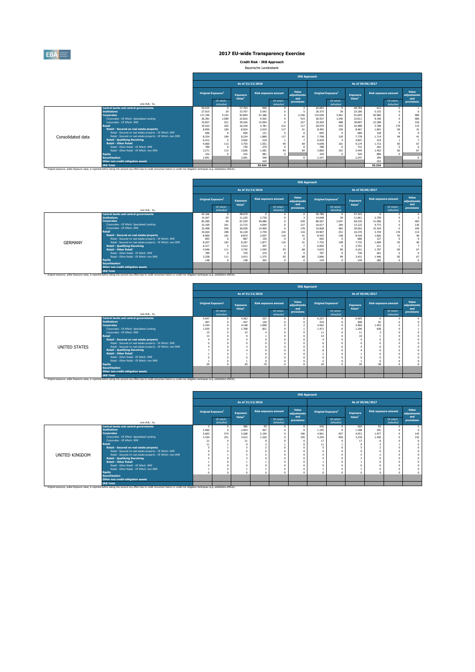

**Credit Risk - IRB Approach** Bayerische Landesbank

|                   |                                                                 |                                |                        |                                       |                             |                        | <b>IRB Approach</b>         |                   |                                |                                       |                             |                        |                             |
|-------------------|-----------------------------------------------------------------|--------------------------------|------------------------|---------------------------------------|-----------------------------|------------------------|-----------------------------|-------------------|--------------------------------|---------------------------------------|-----------------------------|------------------------|-----------------------------|
|                   |                                                                 |                                |                        | As of 31/12/2016                      |                             |                        |                             |                   |                                | As of 30/06/2017                      |                             |                        |                             |
|                   |                                                                 | Original Exposure <sup>1</sup> |                        | <b>Exposure</b><br>Value <sup>1</sup> | <b>Risk exposure amount</b> |                        | Value<br>adjustments<br>and |                   | Original Exposure <sup>1</sup> | <b>Exposure</b><br>Value <sup>1</sup> | <b>Risk exposure amount</b> |                        | Value<br>adiustments<br>and |
|                   | (mln EUR. %)                                                    |                                | Of which:<br>defaulted |                                       |                             | Of which:<br>defaulted | provisions                  |                   | Of which:<br>defaulted         |                                       |                             | Of which:<br>defaulted | provisions                  |
|                   | <b>Central banks and central governments</b>                    | 50,635                         | $^{\circ}$             | 57.764                                | 966                         |                        |                             | 62,063            |                                | 68,784                                | 612                         |                        |                             |
|                   | <b>Institutions</b>                                             | 27.015                         | 29                     | 23,707                                | 5.543                       |                        |                             | 26.375            | 39                             | 23.186                                | 5.153                       |                        |                             |
|                   | <b>Corporates</b><br>Corporates - Of Which: Specialised Lending | 117.196<br>26,381              | 5.142                  | 92.894                                | 41.386                      |                        | 2.246                       | 115,649<br>26.937 | 3,461<br>1.246                 | 91.605                                | 40,960                      |                        | 989<br>580                  |
|                   | Corporates - Of Which: SME                                      | 33,837                         | 1.089<br>521           | 22,816<br>30,426                      | 9.302<br>15.094             |                        | 515<br>227                  | 34.264            | 488                            | 23.011<br>30,897                      | 9.196<br>15,308             |                        | 156                         |
|                   | Retail                                                          | 19,422                         | 302                    | 16.244                                | 3,781                       | 212                    | 117                         | 20.070            | 255                            | 16,488                                | 3.768                       | 179                    | 115                         |
|                   | Retail - Secured on real estate property                        | 8,950                          | 184                    | 8.924                                 | 2.019                       | 117                    | 41                          | 8.493             | 150                            | 8.467                                 | 1.841                       | Q4                     | 41                          |
|                   | Retail - Secured on real estate property - Of Which: SME        | 696                            |                        | 690                                   | 131                         |                        |                             | 695               |                                | 689                                   | 128                         | $\Omega$               | $\Omega$                    |
| Consolidated data | Retail - Secured on real estate property - Of Which: non-SME    | 8.254                          | 184                    | 8.234                                 | 1,889                       | 117                    | 41                          | 7,798             | 150                            | 7,778                                 | 1.714                       | 94                     | 41                          |
|                   | <b>Retail - Qualifying Revolving</b>                            | 6.412                          |                        | 3.565                                 | 210                         |                        |                             | 6,930             |                                | 3,847                                 | 214                         |                        |                             |
|                   | <b>Retail - Other Retail</b>                                    | 4,060                          | 113                    | 3.755                                 | 1.551                       | 94                     | 69                          | 4.648             | 101                            | 4.174                                 | 1.713                       | 83                     | 67                          |
|                   | Retail - Other Retail - Of Which: SME                           | 789                            |                        | 730                                   | 270                         |                        |                             | 788               |                                | 731                                   | 262                         | $\Omega$               | $\Omega$                    |
|                   | Retail - Other Retail - Of Which: non-SME                       | 3.271                          | 113                    | 3.026                                 | 1.281                       | 94                     | 69                          | 3,860             | 101                            | 3.444                                 | 1.452                       | 83                     | 67                          |
|                   | <b>Equity</b>                                                   | 332                            |                        | 332                                   | 981                         |                        |                             | 320               |                                | 320                                   | 896                         | $\Omega$               |                             |
|                   | <b>Securitisation</b>                                           | 2.091                          |                        | 2.091                                 | 346                         |                        | $\Omega$                    | 2.247             |                                | 2.247                                 | 394                         |                        | $\Omega$                    |
|                   | Other non credit-obligation assets                              |                                |                        |                                       | 430                         |                        |                             |                   |                                |                                       | 433                         |                        |                             |
|                   | <b>TRB Total</b>                                                |                                |                        |                                       | 53.434                      |                        |                             |                   |                                |                                       | 52.216                      |                        |                             |

|                |                                                                                                                                                                                                |        |                                                                       |                    |                             |                        |                             | <b>IRB Approach</b>                   |                        |                                       |                             |                        |                      |
|----------------|------------------------------------------------------------------------------------------------------------------------------------------------------------------------------------------------|--------|-----------------------------------------------------------------------|--------------------|-----------------------------|------------------------|-----------------------------|---------------------------------------|------------------------|---------------------------------------|-----------------------------|------------------------|----------------------|
|                |                                                                                                                                                                                                |        |                                                                       |                    | As of 31/12/2016            |                        |                             |                                       |                        | As of 30/06/2017                      |                             |                        |                      |
|                |                                                                                                                                                                                                |        | <b>Original Exposure</b> <sup>1</sup><br><b>Exposure</b><br>Of which: |                    | <b>Risk exposure amount</b> |                        | Value<br>adjustments<br>and | <b>Original Exposure</b> <sup>1</sup> |                        | <b>Exposure</b><br>Value <sup>1</sup> | <b>Risk exposure amount</b> |                        | Value<br>adjustments |
|                | (mln EUR. %)                                                                                                                                                                                   |        | defaulted                                                             | Value <sup>1</sup> |                             | Of which:<br>defaulted | provisions                  |                                       | Of which:<br>defaulted |                                       |                             | Of which:<br>defaulted | and<br>provisions    |
|                | <b>Central banks and central governments</b>                                                                                                                                                   | 42.166 | $\theta$                                                              | 48,679             |                             |                        |                             | 50,789                                |                        | 57.163                                |                             |                        |                      |
|                | <b>Institutions</b>                                                                                                                                                                            | 14.267 | 29                                                                    | 11.225             | 2.739                       |                        |                             | 14,648                                | 39                     | 11.661                                | 2,759                       |                        |                      |
|                | <b>Corporates</b>                                                                                                                                                                              | 83,289 | 99                                                                    | 67.539             | 30,686                      |                        | 539                         | 86,567                                | 1.047                  | 69.235                                | 31,006                      |                        | 483                  |
|                | Corporates - Of Which: Specialised Lending                                                                                                                                                     | 15.109 | 241                                                                   | 12.715             | 4.694                       |                        | 127                         | 16.017                                | 184                    | 13.122                                | 4.773                       |                        | 130                  |
|                | Corporates - Of Which: SME                                                                                                                                                                     | 33,408 | 505                                                                   | 30.039             | 14,900                      |                        | 178                         | 33,828                                | 482                    | 30,502                                | 15,104                      |                        | 109                  |
|                | <b>Retail</b>                                                                                                                                                                                  | 19,264 | 298                                                                   | 16.128             | 3,759                       | 210                    | 116                         | 19,907                                | 251                    | 16,370                                | 3.744                       | 176                    | 114                  |
|                | Retail - Secured on real estate property                                                                                                                                                       | 8,900  | 181                                                                   | 8.874              | 2,007                       | 116                    | 41                          | 8.443                                 | 148                    | 8.418                                 | 1.826                       | 93                     | 40                   |
|                | Retail - Secured on real estate property - Of Which: SME                                                                                                                                       | 693    | f.                                                                    | 687                | 130                         |                        |                             | 692                                   |                        | 686                                   | 127                         |                        | $\theta$             |
| <b>GERMANY</b> | Retail - Secured on real estate property - Of Which: non-SME                                                                                                                                   | 8.207  | 181                                                                   | 8.187              | 1.877                       | 116                    | 41                          | 7.752                                 | 148                    | 7.732                                 | 1.699                       | 93                     | 40                   |
|                | <b>Retail - Qualifying Revolving</b>                                                                                                                                                           | 6.317  | 5                                                                     | 3.512              | 207                         |                        |                             | 6,830                                 |                        | 3.791                                 | 211                         |                        |                      |
|                | <b>Retail - Other Retail</b>                                                                                                                                                                   | 4.046  | 111                                                                   | 3.742              | 1.545                       | 93                     | 68                          | 4.633                                 | 99                     | 4.161                                 | 1.707                       | 82                     | 67                   |
|                | Retail - Other Retail - Of Which: SME                                                                                                                                                          | 789    | C                                                                     | 729                | 270                         |                        |                             | 787                                   |                        | 730                                   | 261                         |                        | $\Omega$             |
|                | Retail - Other Retail - Of Which: non-SME                                                                                                                                                      | 3.258  | 111                                                                   | 3.013              | 1.275                       | 93                     | 68                          | 3.846                                 | 99                     | 3.431                                 | 1.446                       | 82                     | 67                   |
|                | <b>Equity</b>                                                                                                                                                                                  | 148    |                                                                       | 148                | 302                         |                        |                             | 144                                   |                        | 144                                   | 282                         |                        | $\mathbf{0}$         |
|                | <b>Securitisation</b>                                                                                                                                                                          |        |                                                                       |                    |                             |                        |                             |                                       |                        |                                       |                             |                        |                      |
|                | Other non credit-obligation assets                                                                                                                                                             |        |                                                                       |                    |                             |                        |                             |                                       |                        |                                       |                             |                        |                      |
|                | <b>IRB Total</b>                                                                                                                                                                               |        |                                                                       |                    |                             |                        |                             |                                       |                        |                                       |                             |                        |                      |
|                | Original exposure, unlike Exposure value, is reported before taking into account any effect due to credit conversion factors or credit risk mitigation techniques (e.g. substitution effects). |        |                                                                       |                    |                             |                        |                             |                                       |                        |                                       |                             |                        |                      |

| <b>IRB Approach</b>                  |                                         |                    |                        |                                       |                             |                             |                  |                                       |                                       |          |                                                                                                                                                                                                                                                                                                                                                                                                                                                                                                                                                                                                                                                      |                      |
|--------------------------------------|-----------------------------------------|--------------------|------------------------|---------------------------------------|-----------------------------|-----------------------------|------------------|---------------------------------------|---------------------------------------|----------|------------------------------------------------------------------------------------------------------------------------------------------------------------------------------------------------------------------------------------------------------------------------------------------------------------------------------------------------------------------------------------------------------------------------------------------------------------------------------------------------------------------------------------------------------------------------------------------------------------------------------------------------------|----------------------|
|                                      |                                         | As of 30/06/2017   |                        |                                       |                             |                             | As of 31/12/2016 |                                       |                                       |          |                                                                                                                                                                                                                                                                                                                                                                                                                                                                                                                                                                                                                                                      |                      |
| Value<br>adjustments<br>and          | <b>Risk exposure amount</b><br>Exposure |                    |                        | <b>Original Exposure</b> <sup>1</sup> | Value<br>adjustments<br>and | <b>Risk exposure amount</b> |                  | <b>Exposure</b><br>Value <sup>1</sup> | <b>Original Exposure</b> <sup>1</sup> |          |                                                                                                                                                                                                                                                                                                                                                                                                                                                                                                                                                                                                                                                      |                      |
| Of which:<br>provisions<br>defaulted |                                         | Value <sup>1</sup> | Of which:<br>defaulted |                                       | provisions                  | Of which:<br>defaulted      |                  |                                       | Of which:<br>defaulted                |          | (mln EUR, %)                                                                                                                                                                                                                                                                                                                                                                                                                                                                                                                                                                                                                                         |                      |
|                                      | $\circ$                                 | 6.405              | $\Omega$               | 6.227                                 |                             |                             | 337              | 4.362                                 |                                       | 4.047    | Central banks and central governments                                                                                                                                                                                                                                                                                                                                                                                                                                                                                                                                                                                                                |                      |
|                                      | 92                                      | 408                |                        | 419                                   |                             |                             | 120              | 447                                   |                                       | 467      | <b>Institutions</b>                                                                                                                                                                                                                                                                                                                                                                                                                                                                                                                                                                                                                                  |                      |
|                                      | 1.452                                   | 3,460              |                        | 4.562                                 |                             |                             | 1.848            | 4.148                                 |                                       | 5.344    | <b>Corporates</b>                                                                                                                                                                                                                                                                                                                                                                                                                                                                                                                                                                                                                                    |                      |
|                                      | 638                                     | 1.296              |                        | 1.471                                 |                             |                             | 821              | 1.708                                 |                                       | 1.935    | Corporates - Of Which: Specialised Lending                                                                                                                                                                                                                                                                                                                                                                                                                                                                                                                                                                                                           |                      |
|                                      |                                         | 11                 |                        |                                       |                             |                             |                  | 15                                    |                                       | 15       | Corporates - Of Which: SME                                                                                                                                                                                                                                                                                                                                                                                                                                                                                                                                                                                                                           |                      |
|                                      |                                         |                    |                        |                                       |                             |                             |                  |                                       |                                       |          |                                                                                                                                                                                                                                                                                                                                                                                                                                                                                                                                                                                                                                                      |                      |
|                                      |                                         |                    |                        |                                       |                             |                             |                  |                                       |                                       |          |                                                                                                                                                                                                                                                                                                                                                                                                                                                                                                                                                                                                                                                      |                      |
|                                      |                                         |                    |                        |                                       |                             |                             |                  |                                       |                                       |          |                                                                                                                                                                                                                                                                                                                                                                                                                                                                                                                                                                                                                                                      |                      |
|                                      |                                         |                    |                        |                                       |                             |                             |                  |                                       |                                       |          |                                                                                                                                                                                                                                                                                                                                                                                                                                                                                                                                                                                                                                                      |                      |
|                                      |                                         |                    |                        |                                       |                             |                             |                  |                                       |                                       |          |                                                                                                                                                                                                                                                                                                                                                                                                                                                                                                                                                                                                                                                      |                      |
|                                      |                                         |                    |                        |                                       |                             |                             |                  |                                       |                                       |          |                                                                                                                                                                                                                                                                                                                                                                                                                                                                                                                                                                                                                                                      |                      |
|                                      |                                         |                    |                        |                                       |                             |                             |                  |                                       |                                       |          |                                                                                                                                                                                                                                                                                                                                                                                                                                                                                                                                                                                                                                                      |                      |
|                                      |                                         |                    |                        |                                       |                             |                             |                  |                                       |                                       |          |                                                                                                                                                                                                                                                                                                                                                                                                                                                                                                                                                                                                                                                      |                      |
|                                      |                                         |                    |                        |                                       |                             |                             |                  |                                       |                                       |          |                                                                                                                                                                                                                                                                                                                                                                                                                                                                                                                                                                                                                                                      |                      |
|                                      |                                         |                    |                        |                                       |                             |                             |                  |                                       |                                       |          |                                                                                                                                                                                                                                                                                                                                                                                                                                                                                                                                                                                                                                                      |                      |
|                                      |                                         |                    |                        |                                       |                             |                             |                  |                                       |                                       |          |                                                                                                                                                                                                                                                                                                                                                                                                                                                                                                                                                                                                                                                      |                      |
|                                      |                                         |                    |                        |                                       |                             |                             |                  |                                       |                                       |          | <b>IRB Total</b>                                                                                                                                                                                                                                                                                                                                                                                                                                                                                                                                                                                                                                     |                      |
|                                      | 38                                      | 10<br>20           |                        | 20                                    |                             |                             | 70               | 20                                    |                                       | 13<br>20 | <b>Retail</b><br>Retail - Secured on real estate property<br>Retail - Secured on real estate property - Of Which: SME<br>Retail - Secured on real estate property - Of Which: non-SME<br><b>Retail - Qualifying Revolving</b><br><b>Retail - Other Retail</b><br>Retail - Other Retail - Of Which: SME<br>Retail - Other Retail - Of Which: non-SME<br><b>Equity</b><br><b>Securitisation</b><br>Other non credit-obligation assets<br><sup>(1)</sup> Original exposure, unlike Exposure value, is reported before taking into account any effect due to credit conversion factors or credit risk mitigation techniques (e.g. substitution effects). | <b>UNITED STATES</b> |

|                |                                                                                                                                                                                                                       |       |                                |                  |       |                        |                                       | <b>IRB Approach</b> |                             |       |                             |                                |            |                                       |                             |  |                             |
|----------------|-----------------------------------------------------------------------------------------------------------------------------------------------------------------------------------------------------------------------|-------|--------------------------------|------------------|-------|------------------------|---------------------------------------|---------------------|-----------------------------|-------|-----------------------------|--------------------------------|------------|---------------------------------------|-----------------------------|--|-----------------------------|
|                |                                                                                                                                                                                                                       |       |                                | As of 31/12/2016 |       |                        |                                       |                     |                             |       | As of 30/06/2017            |                                |            |                                       |                             |  |                             |
|                |                                                                                                                                                                                                                       |       | Original Exposure <sup>1</sup> |                  |       |                        | <b>Exposure</b><br>Value <sup>1</sup> |                     | <b>Risk exposure amount</b> |       | Value<br>adjustments<br>and | Original Exposure <sup>1</sup> |            | <b>Exposure</b><br>Value <sup>1</sup> | <b>Risk exposure amount</b> |  | Value<br>adjustments<br>and |
|                | (mln EUR, %)                                                                                                                                                                                                          |       | Of which:<br>defaulted         |                  |       | Of which:<br>defaulted | provisions                            |                     | Of which:<br>defaulted      |       |                             | Of which:<br>defaulted         | provisions |                                       |                             |  |                             |
|                | Central banks and central governments                                                                                                                                                                                 | 5     |                                | 386              | 59    |                        | $\Omega$                              | 242                 | $\Omega$                    | 560   | 93                          |                                |            |                                       |                             |  |                             |
|                | <b>Institutions</b>                                                                                                                                                                                                   | 2,060 |                                | 2.054            | 497   |                        |                                       | 1.195               | $\Omega$                    | 1.188 | 291                         |                                |            |                                       |                             |  |                             |
|                | <b>Corporates</b>                                                                                                                                                                                                     | 5.603 | 574                            | 5.268            | 2.194 |                        | 106                                   | 4.961               | 457                         | 4.551 | 1.977                       |                                | 143        |                                       |                             |  |                             |
|                | Corporates - Of Which: Specialised Lending                                                                                                                                                                            | 3.104 | 251                            | 3.013            | 1.326 |                        | 105                                   | 3,259               | 456                         | 3.218 | 1.430                       |                                | 142        |                                       |                             |  |                             |
|                | Corporates - Of Which: SME                                                                                                                                                                                            | 21    |                                | 21               |       |                        |                                       | 17                  |                             | 17    |                             |                                |            |                                       |                             |  |                             |
|                | <b>Retail</b>                                                                                                                                                                                                         |       |                                |                  |       |                        |                                       |                     |                             |       |                             |                                |            |                                       |                             |  |                             |
|                | Retail - Secured on real estate property                                                                                                                                                                              |       |                                |                  |       |                        |                                       |                     |                             |       |                             |                                |            |                                       |                             |  |                             |
|                | Retail - Secured on real estate property - Of Which: SME                                                                                                                                                              |       |                                |                  |       |                        |                                       |                     |                             |       |                             |                                |            |                                       |                             |  |                             |
| UNITED KINGDOM | Retail - Secured on real estate property - Of Which: non-SME                                                                                                                                                          |       |                                |                  |       |                        |                                       |                     |                             |       |                             |                                |            |                                       |                             |  |                             |
|                | <b>Retail - Qualifying Revolving</b>                                                                                                                                                                                  |       |                                |                  |       |                        |                                       |                     |                             |       |                             |                                |            |                                       |                             |  |                             |
|                | <b>Retail - Other Retail</b>                                                                                                                                                                                          |       |                                |                  |       |                        |                                       |                     |                             |       |                             |                                |            |                                       |                             |  |                             |
|                | Retail - Other Retail - Of Which: SME                                                                                                                                                                                 |       |                                |                  |       |                        |                                       |                     |                             |       |                             |                                |            |                                       |                             |  |                             |
|                | Retail - Other Retail - Of Which: non-SME                                                                                                                                                                             |       |                                |                  |       |                        |                                       |                     |                             |       |                             |                                |            |                                       |                             |  |                             |
|                | <b>Equity</b>                                                                                                                                                                                                         |       |                                |                  |       |                        |                                       |                     |                             |       |                             |                                |            |                                       |                             |  |                             |
|                | <b>Securitisation</b>                                                                                                                                                                                                 |       |                                |                  |       |                        |                                       |                     |                             |       |                             |                                |            |                                       |                             |  |                             |
|                | Other non credit-obligation assets                                                                                                                                                                                    |       |                                |                  |       |                        |                                       |                     |                             |       |                             |                                |            |                                       |                             |  |                             |
|                | <b>IRB Total</b><br>10 Original exposure, unlike Exposure value, is reported before taking into account any effect due to credit conversion factors or credit risk mitigation techniques (e.g. substitution effects). |       |                                |                  |       |                        |                                       |                     |                             |       |                             |                                |            |                                       |                             |  |                             |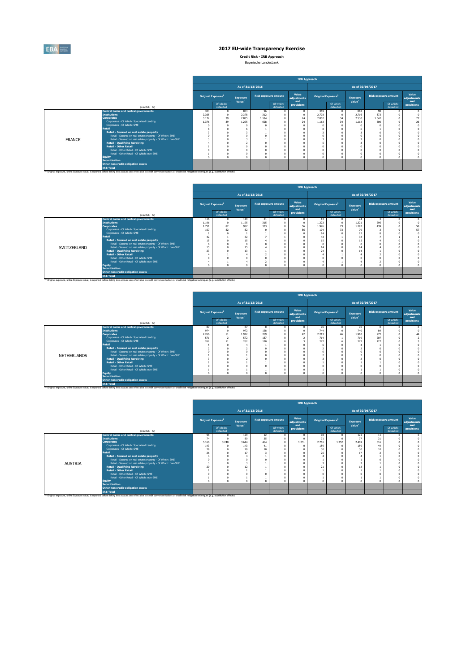

**Credit Risk - IRB Approach**

| Bayerische Landesbank |
|-----------------------|
|-----------------------|

|               |                                                                                                                                                                                                              |                                |                        |                                       |                             |                        | <b>IRB Approach</b>  |                                       |                        |                                |                             |                        |                      |
|---------------|--------------------------------------------------------------------------------------------------------------------------------------------------------------------------------------------------------------|--------------------------------|------------------------|---------------------------------------|-----------------------------|------------------------|----------------------|---------------------------------------|------------------------|--------------------------------|-----------------------------|------------------------|----------------------|
|               |                                                                                                                                                                                                              |                                |                        | As of 31/12/2016                      |                             |                        |                      |                                       |                        | As of 30/06/2017               |                             |                        |                      |
|               |                                                                                                                                                                                                              | Original Exposure <sup>1</sup> |                        | <b>Exposure</b><br>Value <sup>1</sup> | <b>Risk exposure amount</b> |                        | Value<br>adjustments | <b>Original Exposure</b> <sup>1</sup> |                        | Exposure<br>Value <sup>1</sup> | <b>Risk exposure amount</b> |                        | Value<br>adjustments |
|               | (mln EUR, %)                                                                                                                                                                                                 |                                | Of which:<br>defaulted |                                       |                             | Of which:<br>defaulted | and<br>provisions    |                                       | Of which:<br>defaulted |                                |                             | Of which:<br>defaulted | and<br>provisions    |
|               | <b>Central banks and central governments</b>                                                                                                                                                                 | 323                            | $^{\circ}$             | 803                                   | 96                          |                        |                      | 369                                   | $\Omega$               | 818                            | 98                          |                        |                      |
|               | <b>Institutions</b>                                                                                                                                                                                          | 2.365                          |                        | 2.378                                 | 312                         |                        |                      | 2,703                                 |                        | 2.716                          | 373                         |                        |                      |
|               | <b>Corporates</b>                                                                                                                                                                                            | 3.172                          | 39                     | 2,885                                 | 1.184                       |                        | 24                   | 2,802                                 | 34                     | 2.530                          | 1.042                       |                        | 27                   |
|               | Corporates - Of Which: Specialised Lending                                                                                                                                                                   | 1.376                          | 39                     | 1.295                                 | 608                         |                        | 24                   | 1.163                                 | 34                     | 1.112                          | 500                         |                        | 26                   |
|               | Corporates - Of Which: SME                                                                                                                                                                                   |                                |                        |                                       |                             |                        |                      |                                       |                        |                                |                             |                        |                      |
|               | Retail                                                                                                                                                                                                       |                                |                        |                                       |                             |                        |                      |                                       |                        |                                |                             |                        |                      |
|               | Retail - Secured on real estate property                                                                                                                                                                     |                                |                        |                                       |                             |                        |                      |                                       |                        |                                |                             |                        |                      |
|               | Retail - Secured on real estate property - Of Which: SME                                                                                                                                                     |                                |                        |                                       |                             |                        |                      |                                       |                        |                                |                             |                        |                      |
| <b>FRANCE</b> | Retail - Secured on real estate property - Of Which: non-SME                                                                                                                                                 |                                |                        |                                       |                             |                        |                      |                                       |                        |                                |                             |                        |                      |
|               | <b>Retail - Qualifying Revolving</b>                                                                                                                                                                         |                                |                        |                                       |                             |                        |                      |                                       |                        |                                |                             |                        |                      |
|               | <b>Retail - Other Retail</b>                                                                                                                                                                                 |                                |                        |                                       |                             |                        |                      |                                       |                        |                                |                             |                        |                      |
|               | Retail - Other Retail - Of Which: SME                                                                                                                                                                        |                                |                        |                                       |                             |                        |                      |                                       |                        |                                |                             |                        |                      |
|               | Retail - Other Retail - Of Which: non-SME                                                                                                                                                                    |                                |                        |                                       |                             |                        |                      |                                       |                        |                                |                             |                        |                      |
|               | <b>Equity</b>                                                                                                                                                                                                |                                |                        |                                       |                             |                        |                      |                                       |                        |                                |                             |                        |                      |
|               | <b>Securitisation</b>                                                                                                                                                                                        |                                |                        |                                       |                             |                        |                      |                                       |                        |                                |                             |                        |                      |
|               | Other non credit-obligation assets                                                                                                                                                                           |                                |                        |                                       |                             |                        |                      |                                       |                        |                                |                             |                        |                      |
|               | <b>IRB Total</b>                                                                                                                                                                                             |                                |                        |                                       |                             |                        |                      |                                       |                        |                                |                             |                        |                      |
|               | <sup>13</sup> Original exposure, unlike Exposure value, is reported before taking into account any effect due to credit conversion factors or credit risk mitigation techniques (e.g. substitution effects). |                                |                        |                                       |                             |                        |                      |                                       |                        |                                |                             |                        |                      |

|             |                                                                                                                                                                                                               |                                       |                        |                    |                             |                        | <b>IRB Approach</b>  |                                |                        |                    |                             |                        |                      |
|-------------|---------------------------------------------------------------------------------------------------------------------------------------------------------------------------------------------------------------|---------------------------------------|------------------------|--------------------|-----------------------------|------------------------|----------------------|--------------------------------|------------------------|--------------------|-----------------------------|------------------------|----------------------|
|             |                                                                                                                                                                                                               |                                       |                        | As of 31/12/2016   |                             |                        |                      |                                |                        | As of 30/06/2017   |                             |                        |                      |
|             |                                                                                                                                                                                                               | <b>Original Exposure</b> <sup>1</sup> |                        | <b>Exposure</b>    | <b>Risk exposure amount</b> |                        | Value<br>adjustments | Original Exposure <sup>1</sup> |                        | <b>Exposure</b>    | <b>Risk exposure amount</b> |                        | Value<br>adjustments |
|             | (mln EUR, %)                                                                                                                                                                                                  |                                       | Of which:<br>defaulted | Value <sup>1</sup> |                             | Of which:<br>defaulted | and<br>provisions    |                                | Of which:<br>defaulted | Value <sup>1</sup> |                             | Of which:<br>defaulted | and<br>provisions    |
|             | Central banks and central governments                                                                                                                                                                         | 116                                   | $\Omega$               | 119                | 21                          |                        |                      | 13                             | $\Omega$               | 24                 | 3                           |                        |                      |
|             | <b>Institutions</b>                                                                                                                                                                                           | 1.196                                 |                        | 1.195              | 315                         |                        |                      | 1.323                          | $\Omega$               | 1.321              | 295                         |                        |                      |
|             | <b>Corporates</b>                                                                                                                                                                                             | 1.751                                 | 82                     | 987                | 333                         |                        | 56                   | 1.976                          | 73                     | 1.292              | 439                         |                        | 58                   |
|             | Corporates - Of Which: Specialised Lending                                                                                                                                                                    | 107                                   | 82                     | 82                 |                             |                        |                      | 104                            | 73                     | 79                 |                             |                        | 57                   |
|             | Corporates - Of Which: SME                                                                                                                                                                                    |                                       |                        |                    |                             |                        |                      | 14                             |                        | 12                 |                             |                        |                      |
|             | <b>Retail</b>                                                                                                                                                                                                 | 42                                    |                        | 32                 |                             |                        |                      | 43                             |                        | 32                 |                             |                        |                      |
|             | Retail - Secured on real estate property                                                                                                                                                                      | 15                                    |                        | 15                 |                             |                        |                      | 15                             |                        | 15                 |                             |                        |                      |
|             | Retail - Secured on real estate property - Of Which: SME                                                                                                                                                      |                                       |                        |                    |                             |                        |                      |                                |                        |                    |                             |                        |                      |
| SWITZERLAND | Retail - Secured on real estate property - Of Which: non-SME                                                                                                                                                  | 15                                    |                        | 15                 |                             |                        |                      | 14                             |                        | 14                 |                             |                        |                      |
|             | <b>Retail - Qualifying Revolving</b>                                                                                                                                                                          | $^{23}$                               |                        | 13                 |                             |                        |                      | 24                             |                        | 14                 |                             |                        |                      |
|             | <b>Retail - Other Retail</b>                                                                                                                                                                                  |                                       |                        |                    |                             |                        |                      |                                |                        |                    |                             |                        |                      |
|             | Retail - Other Retail - Of Which: SME                                                                                                                                                                         |                                       |                        |                    |                             |                        |                      |                                |                        |                    |                             |                        |                      |
|             | Retail - Other Retail - Of Which: non-SME                                                                                                                                                                     |                                       |                        |                    |                             |                        |                      |                                |                        |                    |                             |                        |                      |
|             | <b>Equity</b><br><b>Securitisation</b>                                                                                                                                                                        |                                       |                        |                    |                             |                        |                      |                                |                        |                    |                             |                        |                      |
|             | Other non credit-obligation assets                                                                                                                                                                            |                                       |                        |                    |                             |                        |                      |                                |                        |                    |                             |                        |                      |
|             | <b>IRB Total</b>                                                                                                                                                                                              |                                       |                        |                    |                             |                        |                      |                                |                        |                    |                             |                        |                      |
|             | <sup>(1)</sup> Original exposure, unlike Exposure value, is reported before taking into account any effect due to credit conversion factors or credit risk mitigation techniques (e.g. substitution effects). |                                       |                        |                    |                             |                        |                      |                                |                        |                    |                             |                        |                      |

|             |                                                                                                                                                                                                                                                                                                                                                                                                                                                                                                                             |                                       |                        |                                       |                             |                        | <b>IRB Approach</b>         |                                  |                        |                                  |                                     |                        |                             |
|-------------|-----------------------------------------------------------------------------------------------------------------------------------------------------------------------------------------------------------------------------------------------------------------------------------------------------------------------------------------------------------------------------------------------------------------------------------------------------------------------------------------------------------------------------|---------------------------------------|------------------------|---------------------------------------|-----------------------------|------------------------|-----------------------------|----------------------------------|------------------------|----------------------------------|-------------------------------------|------------------------|-----------------------------|
|             |                                                                                                                                                                                                                                                                                                                                                                                                                                                                                                                             |                                       |                        | As of 31/12/2016                      |                             |                        |                             |                                  |                        |                                  | As of 30/06/2017                    |                        |                             |
|             |                                                                                                                                                                                                                                                                                                                                                                                                                                                                                                                             | <b>Original Exposure</b> <sup>1</sup> |                        | <b>Exposure</b><br>Value <sup>1</sup> | <b>Risk exposure amount</b> |                        | Value<br>adjustments<br>and | Original Exposure <sup>1</sup>   |                        | Exposure<br>Value <sup>1</sup>   | <b>Risk exposure amount</b>         |                        | Value<br>adjustments<br>and |
|             | (mln EUR, %)                                                                                                                                                                                                                                                                                                                                                                                                                                                                                                                |                                       | Of which:<br>defaulted |                                       |                             | Of which:<br>defaulted | provisions                  |                                  | Of which:<br>defaulted |                                  |                                     | Of which:<br>defaulted | provisions                  |
| NETHERLANDS | <b>Central banks and central governments</b><br><b>Institutions</b><br><b>Corporates</b><br>Corporates - Of Which: Specialised Lending<br>Corporates - Of Which: SME<br><b>Retail</b><br>Retail - Secured on real estate property<br>Retail - Secured on real estate property - Of Which: SME<br>Retail - Secured on real estate property - Of Which: non-SME<br><b>Retail - Qualifying Revolving</b><br><b>Retail - Other Retail</b><br>Retail - Other Retail - Of Which: SME<br>Retail - Other Retail - Of Which: non-SME | 87<br>974<br>2.266<br>571<br>262      | 51<br>$\sim$<br>11     | 87<br>972<br>1.972<br>572<br>262      | 128<br>769<br>137<br>120    |                        |                             | 76<br>744<br>2.213<br>714<br>277 | 46                     | 76<br>740<br>1.910<br>719<br>277 | $\Omega$<br>89<br>772<br>207<br>127 |                        |                             |
|             | <b>Equity</b><br><b>Securitisation</b><br>Other non credit-obligation assets<br><b>IRB Total</b><br><sup>13</sup> Original exposure, unlike Exposure value, is reported before taking into account any effect due to credit conversion factors or credit risk mitigation techniques (e.g. substitution effects).                                                                                                                                                                                                            |                                       |                        |                                       |                             |                        |                             |                                  |                        |                                  |                                     |                        |                             |

|                |                                                                                                                                                                                                               |           |                                |                    |                             |                        |                             | <b>IRB Approach</b>            |                        |                    |                             |                        |                      |
|----------------|---------------------------------------------------------------------------------------------------------------------------------------------------------------------------------------------------------------|-----------|--------------------------------|--------------------|-----------------------------|------------------------|-----------------------------|--------------------------------|------------------------|--------------------|-----------------------------|------------------------|----------------------|
|                |                                                                                                                                                                                                               |           |                                | As of 31/12/2016   |                             |                        |                             |                                |                        | As of 30/06/2017   |                             |                        |                      |
|                |                                                                                                                                                                                                               |           | Original Exposure <sup>1</sup> | Exposure           | <b>Risk exposure amount</b> |                        | Value<br>adjustments<br>and | Original Exposure <sup>1</sup> |                        | Exposure           | <b>Risk exposure amount</b> |                        | Value<br>adjustments |
|                | (mln EUR, %)                                                                                                                                                                                                  |           | Of which:<br>defaulted         | Value <sup>1</sup> |                             | Of which:<br>defaulted | provisions                  |                                | Of which:<br>defaulted | Value <sup>1</sup> |                             | Of which:<br>defaulted | and<br>provisions    |
|                | Central banks and central governments                                                                                                                                                                         | 98        | $^{\circ}$                     | 129                | 12                          |                        |                             | 98                             |                        | 121                | 11                          |                        |                      |
|                | <b>Institutions</b>                                                                                                                                                                                           | 74        | 3,740                          | 80<br>3,644        | 35                          |                        |                             | 71                             |                        | 77                 | 31<br>516                   |                        |                      |
|                | <b>Corporates</b>                                                                                                                                                                                             | 5.160     |                                |                    | 464<br>41                   |                        | 1.251                       | 2.761                          | 1.252<br>$\theta$      | 2.469              | 44                          |                        |                      |
|                | Corporates - Of Which: Specialised Lending<br>Corporates - Of Which: SME                                                                                                                                      | 143<br>29 |                                | 143<br>29          | 10                          |                        |                             | 159<br>30 <sub>1</sub>         |                        | 159<br>30          | 10                          |                        |                      |
|                | <b>Retail</b>                                                                                                                                                                                                 | 26        |                                | 17                 |                             |                        |                             | 26                             |                        | 17                 |                             |                        |                      |
|                | Retail - Secured on real estate property                                                                                                                                                                      |           |                                |                    |                             |                        |                             |                                |                        |                    |                             |                        |                      |
|                | Retail - Secured on real estate property - Of Which: SME                                                                                                                                                      |           |                                |                    |                             |                        |                             |                                |                        |                    |                             |                        |                      |
| <b>AUSTRIA</b> | Retail - Secured on real estate property - Of Which: non-SME                                                                                                                                                  |           |                                |                    |                             |                        |                             |                                |                        |                    |                             |                        |                      |
|                | <b>Retail - Qualifying Revolving</b>                                                                                                                                                                          | 20        |                                |                    |                             |                        |                             |                                |                        |                    |                             |                        |                      |
|                | <b>Retail - Other Retail</b>                                                                                                                                                                                  |           |                                |                    |                             |                        |                             |                                |                        |                    |                             |                        |                      |
|                | Retail - Other Retail - Of Which: SME                                                                                                                                                                         |           |                                |                    |                             |                        |                             |                                |                        |                    |                             |                        |                      |
|                | Retail - Other Retail - Of Which: non-SME                                                                                                                                                                     |           |                                |                    |                             |                        |                             |                                |                        |                    |                             |                        |                      |
|                | <b>Equity</b>                                                                                                                                                                                                 |           |                                |                    |                             |                        |                             |                                |                        |                    |                             |                        |                      |
|                | <b>Securitisation</b>                                                                                                                                                                                         |           |                                |                    |                             |                        |                             |                                |                        |                    |                             |                        |                      |
|                | Other non credit-obligation assets                                                                                                                                                                            |           |                                |                    |                             |                        |                             |                                |                        |                    |                             |                        |                      |
|                | <b>IRB Total</b>                                                                                                                                                                                              |           |                                |                    |                             |                        |                             |                                |                        |                    |                             |                        |                      |
|                | <sup>(1)</sup> Original exposure, unlike Exposure value, is reported before taking into account any effect due to credit conversion factors or credit risk mitigation techniques (e.g. substitution effects). |           |                                |                    |                             |                        |                             |                                |                        |                    |                             |                        |                      |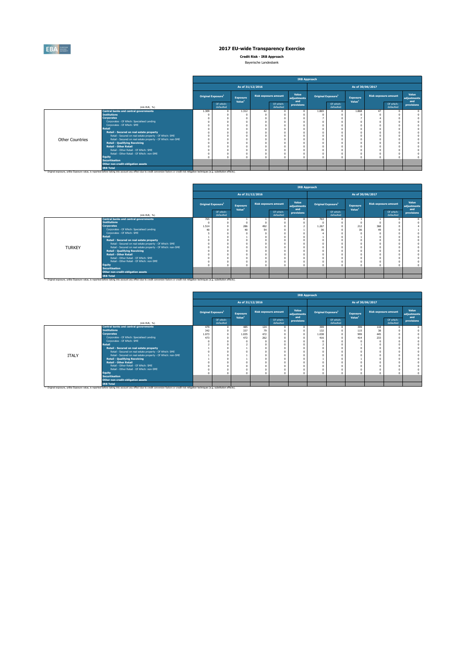

**Credit Risk - IRB Approach** Bayerische Landesbank

|                        |                                                                                                                                                                                                                                                                                                                                                                                                                                                                                                                                                                                                                   |                                |                        |                                |                  |                             |                             | <b>IRB Approach</b>            |                        |                                |                             |                        |                      |
|------------------------|-------------------------------------------------------------------------------------------------------------------------------------------------------------------------------------------------------------------------------------------------------------------------------------------------------------------------------------------------------------------------------------------------------------------------------------------------------------------------------------------------------------------------------------------------------------------------------------------------------------------|--------------------------------|------------------------|--------------------------------|------------------|-----------------------------|-----------------------------|--------------------------------|------------------------|--------------------------------|-----------------------------|------------------------|----------------------|
|                        |                                                                                                                                                                                                                                                                                                                                                                                                                                                                                                                                                                                                                   |                                |                        |                                | As of 31/12/2016 |                             |                             |                                |                        | As of 30/06/2017               |                             |                        |                      |
|                        |                                                                                                                                                                                                                                                                                                                                                                                                                                                                                                                                                                                                                   | Original Exposure <sup>1</sup> |                        | Exposure<br>Value <sup>1</sup> |                  | <b>Risk exposure amount</b> | Value<br>adjustments<br>and | Original Exposure <sup>1</sup> |                        | Exposure<br>Value <sup>1</sup> | <b>Risk exposure amount</b> |                        | Value<br>adjustments |
|                        | (mln EUR, %)                                                                                                                                                                                                                                                                                                                                                                                                                                                                                                                                                                                                      |                                | Of which:<br>defaulted |                                |                  | Of which:<br>defaulted      | provisions                  |                                | Of which:<br>defaulted |                                |                             | Of which:<br>defaulted | and<br>provisions    |
| <b>Other Countries</b> | Central banks and central governments<br><b>Institutions</b><br><b>Corporates</b><br>Corporates - Of Which: Specialised Lending<br>Corporates - Of Which: SME<br>Retail<br>Retail - Secured on real estate property<br>Retail - Secured on real estate property - Of Which: SME<br>Retail - Secured on real estate property - Of Which: non-SME<br><b>Retail - Qualifying Revolving</b><br><b>Retail - Other Retail</b><br>Retail - Other Retail - Of Which: SME<br>Retail - Other Retail - Of Which: non-SME<br><b>Equity</b><br><b>Securitisation</b><br>Other non credit-obligation assets<br><b>IRB Total</b> | 1.309                          | n.                     | 1.312                          | 42               |                             |                             | 1.865                          |                        | 1.868                          | 47                          |                        |                      |
|                        | <sup>13</sup> Original exposure, unlike Exposure value, is reported before taking into account any effect due to credit conversion factors or credit risk mitigation techniques (e.g. substitution effects).                                                                                                                                                                                                                                                                                                                                                                                                      |                                |                        |                                |                  |                             |                             |                                |                        |                                |                             |                        |                      |

|               |                                                                                                      |            |                                |                    |                             |                        | <b>IRB Approach</b>  |       |                                |                    |     |                             |                      |
|---------------|------------------------------------------------------------------------------------------------------|------------|--------------------------------|--------------------|-----------------------------|------------------------|----------------------|-------|--------------------------------|--------------------|-----|-----------------------------|----------------------|
|               |                                                                                                      |            |                                | As of 31/12/2016   |                             |                        |                      |       |                                | As of 30/06/2017   |     |                             |                      |
|               |                                                                                                      |            | Original Exposure <sup>1</sup> | <b>Exposure</b>    | <b>Risk exposure amount</b> |                        | Value<br>adjustments |       | Original Exposure <sup>1</sup> | Exposure           |     | <b>Risk exposure amount</b> | Value<br>adiustments |
|               | (mln EUR, 96)                                                                                        |            | Of which:<br>defaulted         | Value <sup>1</sup> |                             | Of which:<br>defaulted | and<br>provisions    |       | Of which:<br>defaulted         | Value <sup>1</sup> |     | Of which:<br>defaulted      | and<br>provisions    |
|               | Central banks and central governments                                                                | 765        |                                |                    |                             |                        |                      | 763   |                                |                    |     |                             |                      |
|               | <b>Institutions</b>                                                                                  | $\sqrt{ }$ |                                |                    |                             |                        |                      |       |                                |                    |     |                             |                      |
|               | <b>Corporates</b>                                                                                    | 1.514      |                                | 286                | 492                         |                        |                      | 1.267 |                                | 212                | 368 |                             |                      |
|               | Corporates - Of Which: Specialised Lending                                                           | 40         |                                |                    | 54                          |                        |                      | 36    |                                | 36                 | 49  |                             |                      |
|               | Corporates - Of Which: SME<br><b>Retail</b>                                                          |            |                                |                    |                             |                        |                      |       |                                |                    |     |                             |                      |
|               |                                                                                                      |            |                                |                    |                             |                        |                      |       |                                |                    |     |                             |                      |
|               | Retail - Secured on real estate property<br>Retail - Secured on real estate property - Of Which: SME |            |                                |                    |                             |                        |                      |       |                                |                    |     |                             |                      |
|               | Retail - Secured on real estate property - Of Which: non-SME                                         |            |                                |                    |                             |                        |                      |       |                                |                    |     |                             |                      |
| <b>TURKEY</b> | <b>Retail - Qualifying Revolving</b>                                                                 |            |                                |                    |                             |                        |                      |       |                                |                    |     |                             |                      |
|               | <b>Retail - Other Retail</b>                                                                         |            |                                |                    |                             |                        |                      |       |                                |                    |     |                             |                      |
|               | Retail - Other Retail - Of Which: SME                                                                |            |                                |                    |                             |                        |                      |       |                                |                    |     |                             |                      |
|               | Retail - Other Retail - Of Which: non-SME                                                            |            |                                |                    |                             |                        |                      |       |                                |                    |     |                             |                      |
|               | Equity                                                                                               |            |                                |                    |                             |                        |                      |       |                                |                    |     |                             |                      |
|               | <b>Securitisation</b>                                                                                |            |                                |                    |                             |                        |                      |       |                                |                    |     |                             |                      |
|               | Other non credit-obligation assets                                                                   |            |                                |                    |                             |                        |                      |       |                                |                    |     |                             |                      |
|               | <b>IRB Total</b>                                                                                     |            |                                |                    |                             |                        |                      |       |                                |                    |     |                             |                      |

|              |                                                                                                                                                                                                     |                                       |                        |                    |                             |                        |                      | <b>IRB Approach</b>            |                        |                    |                             |                        |                      |
|--------------|-----------------------------------------------------------------------------------------------------------------------------------------------------------------------------------------------------|---------------------------------------|------------------------|--------------------|-----------------------------|------------------------|----------------------|--------------------------------|------------------------|--------------------|-----------------------------|------------------------|----------------------|
|              |                                                                                                                                                                                                     |                                       |                        | As of 31/12/2016   |                             |                        |                      |                                |                        | As of 30/06/2017   |                             |                        |                      |
|              |                                                                                                                                                                                                     | <b>Original Exposure</b> <sup>1</sup> |                        | <b>Exposure</b>    | <b>Risk exposure amount</b> |                        | Value<br>adjustments | Original Exposure <sup>1</sup> |                        | Exposure           | <b>Risk exposure amount</b> |                        | Value<br>adjustments |
|              | (mln EUR, %)                                                                                                                                                                                        |                                       | Of which:<br>defaulted | Value <sup>1</sup> |                             | Of which:<br>defaulted | and<br>provisions    |                                | Of which:<br>defaulted | Value <sup>1</sup> |                             | Of which:<br>defaulted | and<br>provisions    |
|              | Central banks and central governments                                                                                                                                                               | 479                                   |                        | 485                | 124                         |                        |                      | 399                            |                        | 399                | 118                         |                        |                      |
|              | <b>Institutions</b>                                                                                                                                                                                 | 342                                   |                        | 337                | 79                          |                        |                      | 132                            |                        | 115                | 38                          |                        |                      |
|              | <b>Corporates</b>                                                                                                                                                                                   | 1.073                                 |                        | 1.035              | 472                         |                        |                      | 1.038                          |                        | 999                | 445                         |                        |                      |
|              | Corporates - Of Which: Specialised Lending                                                                                                                                                          | 473                                   |                        | 472                | 262                         |                        |                      | 416                            |                        | 414                | 233                         |                        |                      |
|              | Corporates - Of Which: SME                                                                                                                                                                          |                                       |                        |                    |                             |                        |                      |                                |                        |                    |                             |                        |                      |
|              | <b>Retail</b>                                                                                                                                                                                       |                                       |                        |                    |                             |                        |                      |                                |                        |                    |                             |                        |                      |
|              | Retail - Secured on real estate property                                                                                                                                                            |                                       |                        |                    |                             |                        |                      |                                |                        |                    |                             |                        |                      |
|              | Retail - Secured on real estate property - Of Which: SME                                                                                                                                            |                                       |                        |                    |                             |                        |                      |                                |                        |                    |                             |                        |                      |
| <b>ITALY</b> | Retail - Secured on real estate property - Of Which: non-SME                                                                                                                                        |                                       |                        |                    |                             |                        |                      |                                |                        |                    |                             |                        |                      |
|              | <b>Retail - Qualifying Revolving</b>                                                                                                                                                                |                                       |                        |                    |                             |                        |                      |                                |                        |                    |                             |                        |                      |
|              | <b>Retail - Other Retail</b>                                                                                                                                                                        |                                       |                        |                    |                             |                        |                      |                                |                        |                    |                             |                        |                      |
|              | Retail - Other Retail - Of Which: SME                                                                                                                                                               |                                       |                        |                    |                             |                        |                      |                                |                        |                    |                             |                        |                      |
|              | Retail - Other Retail - Of Which: non-SME                                                                                                                                                           |                                       |                        |                    |                             |                        |                      |                                |                        |                    |                             |                        |                      |
|              | <b>Equity</b>                                                                                                                                                                                       |                                       |                        |                    |                             |                        |                      |                                |                        |                    |                             |                        |                      |
|              | <b>Securitisation</b>                                                                                                                                                                               |                                       |                        |                    |                             |                        |                      |                                |                        |                    |                             |                        |                      |
|              | Other non credit-obligation assets                                                                                                                                                                  |                                       |                        |                    |                             |                        |                      |                                |                        |                    |                             |                        |                      |
|              | <b>IRB Total</b>                                                                                                                                                                                    |                                       |                        |                    |                             |                        |                      |                                |                        |                    |                             |                        |                      |
|              | (ii) Original exposure, unlike Exposure value, is reported before taking into account any effect due to credit conversion factors or credit risk mitigation techniques (e.g. substitution effects). |                                       |                        |                    |                             |                        |                      |                                |                        |                    |                             |                        |                      |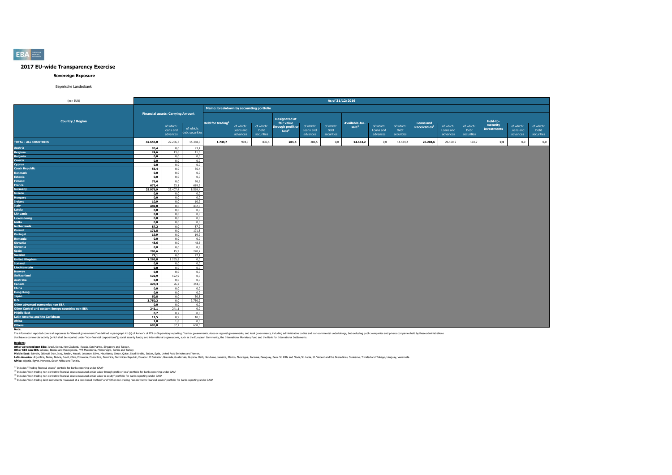#### **Sovereign Exposure**

#### Bayerische Landesbank

| (mln EUR)                                                                |              |                                          |                 |                                         |                        |            |                                        |                        |                   | As of 31/12/2016 |           |            |                          |                        |            |             |           |            |
|--------------------------------------------------------------------------|--------------|------------------------------------------|-----------------|-----------------------------------------|------------------------|------------|----------------------------------------|------------------------|-------------------|------------------|-----------|------------|--------------------------|------------------------|------------|-------------|-----------|------------|
|                                                                          |              |                                          |                 | Memo: breakdown by accounting portfolio |                        |            |                                        |                        |                   |                  |           |            |                          |                        |            |             |           |            |
|                                                                          |              | <b>Financial assets: Carrying Amount</b> |                 |                                         |                        |            |                                        |                        |                   |                  |           |            |                          |                        |            |             |           |            |
| <b>Country / Region</b>                                                  |              |                                          |                 |                                         |                        |            | <b>Designated at</b>                   |                        |                   |                  |           |            |                          |                        |            | Held-to-    |           |            |
|                                                                          |              |                                          |                 | Held for trading <sup>1</sup>           |                        | of which:  | fair value                             |                        |                   | Available-for-   | of which: | of which:  | <b>Loans and</b>         |                        | of which:  | maturity    | of which: | of which:  |
|                                                                          |              | of which:<br>loans and                   | of which:       |                                         | of which:<br>Loans and | Debt       | through profit or<br>loss <sup>2</sup> | of which:<br>Loans and | of which:<br>Debt | sale             | Loans and | Debt       | Receivables <sup>4</sup> | of which:<br>Loans and | Debt       | investments | Loans and | Debt       |
|                                                                          |              | advances                                 | debt securities |                                         | advances               | securities |                                        | advances               | securities        |                  | advances  | securities |                          | advances               | securities |             | advances  | securities |
| <b>TOTAL - ALL COUNTRIES</b>                                             | 42.655,0     | 27.286,7                                 | 15.368,3        | 1.734,7                                 | 904,3                  | 830,4      | 281,5                                  | 281,5                  | 0,0               | 14.434,2         | 0,0       | 14.434,2   | 26.204,6                 | 26.100,9               | 103,7      | 0,0         | $_{0,0}$  | 0,0        |
| <b>Austria</b>                                                           | 93,4         | 0,0                                      | 93,4            |                                         |                        |            |                                        |                        |                   |                  |           |            |                          |                        |            |             |           |            |
| <b>Belgium</b>                                                           | 24,6         | 13,6                                     | 11,0            |                                         |                        |            |                                        |                        |                   |                  |           |            |                          |                        |            |             |           |            |
| <b>Bulgaria</b>                                                          | 0, 0         | 0,0                                      | 0,0             |                                         |                        |            |                                        |                        |                   |                  |           |            |                          |                        |            |             |           |            |
| <b>Croatia</b>                                                           | 0,0          | 0,0                                      | 0,0             |                                         |                        |            |                                        |                        |                   |                  |           |            |                          |                        |            |             |           |            |
| Cyprus                                                                   | 0.0          | 0.0                                      | 0.0             |                                         |                        |            |                                        |                        |                   |                  |           |            |                          |                        |            |             |           |            |
| <b>Czech Republic</b>                                                    | 56,4         | 0,0                                      | 56,4            |                                         |                        |            |                                        |                        |                   |                  |           |            |                          |                        |            |             |           |            |
| <b>Denmark</b>                                                           | 0, 0         | 0,0                                      | 0,0             |                                         |                        |            |                                        |                        |                   |                  |           |            |                          |                        |            |             |           |            |
| <b>Estonia</b><br><b>Finland</b>                                         | 0, 0<br>76,6 | 0,0<br>0,0                               | 0,0<br>76,6     |                                         |                        |            |                                        |                        |                   |                  |           |            |                          |                        |            |             |           |            |
| France                                                                   | 672,4        | 53,1                                     | 619,3           |                                         |                        |            |                                        |                        |                   |                  |           |            |                          |                        |            |             |           |            |
| Germany                                                                  | 33.976,9     | 25.407,4                                 | 8.569,4         |                                         |                        |            |                                        |                        |                   |                  |           |            |                          |                        |            |             |           |            |
| Greece                                                                   | 0,0          | 0,0                                      | 0,0             |                                         |                        |            |                                        |                        |                   |                  |           |            |                          |                        |            |             |           |            |
| <b>Hungary</b>                                                           | 0, 0         | 0,0                                      | 0,0             |                                         |                        |            |                                        |                        |                   |                  |           |            |                          |                        |            |             |           |            |
| <b>Ireland</b>                                                           | 10,9         | 0,0                                      | 10,9            |                                         |                        |            |                                        |                        |                   |                  |           |            |                          |                        |            |             |           |            |
| Italy                                                                    | 482,8        | 0,0                                      | 482,8           |                                         |                        |            |                                        |                        |                   |                  |           |            |                          |                        |            |             |           |            |
| Latvia                                                                   | 0,0          | 0,0                                      | 0,0             |                                         |                        |            |                                        |                        |                   |                  |           |            |                          |                        |            |             |           |            |
| Lithuania                                                                | 0,0          | 0,0                                      | 0,0             |                                         |                        |            |                                        |                        |                   |                  |           |            |                          |                        |            |             |           |            |
| Luxembourg                                                               | 0, 0         | 0,0                                      | 0,0             |                                         |                        |            |                                        |                        |                   |                  |           |            |                          |                        |            |             |           |            |
| <b>Malta</b>                                                             | 0, 0         | 0,0                                      | 0,0             |                                         |                        |            |                                        |                        |                   |                  |           |            |                          |                        |            |             |           |            |
| <b>Netherlands</b>                                                       | 87,2         | 0,0                                      | 87,2            |                                         |                        |            |                                        |                        |                   |                  |           |            |                          |                        |            |             |           |            |
| Poland                                                                   | 171,8        | 0,0                                      | 171,8           |                                         |                        |            |                                        |                        |                   |                  |           |            |                          |                        |            |             |           |            |
| Portugal                                                                 | 19,9         | 0,0                                      | 19,9            |                                         |                        |            |                                        |                        |                   |                  |           |            |                          |                        |            |             |           |            |
| Romania                                                                  | 0,0          | 0,0                                      | 0,0             |                                         |                        |            |                                        |                        |                   |                  |           |            |                          |                        |            |             |           |            |
| <b>Slovakia</b>                                                          | 48,6         | 0,0                                      | 48,6            |                                         |                        |            |                                        |                        |                   |                  |           |            |                          |                        |            |             |           |            |
| <b>Slovenia</b><br><b>Spain</b>                                          | 8,8<br>286,6 | 0,0<br>15,9                              | 8,8<br>270,7    |                                         |                        |            |                                        |                        |                   |                  |           |            |                          |                        |            |             |           |            |
| Sweden                                                                   | 77,1         | 0,0                                      | 77,1            |                                         |                        |            |                                        |                        |                   |                  |           |            |                          |                        |            |             |           |            |
| <b>United Kingdom</b>                                                    | 1.265,8      | 1.265,8                                  | 0,0             |                                         |                        |            |                                        |                        |                   |                  |           |            |                          |                        |            |             |           |            |
| <b>Iceland</b>                                                           | 0,0          | 0,0                                      | 0,0             |                                         |                        |            |                                        |                        |                   |                  |           |            |                          |                        |            |             |           |            |
| Liechtenstein                                                            | 0, 0         | 0,0                                      | 0,0             |                                         |                        |            |                                        |                        |                   |                  |           |            |                          |                        |            |             |           |            |
| Norway                                                                   | 0, 0         | 0,0                                      | 0,0             |                                         |                        |            |                                        |                        |                   |                  |           |            |                          |                        |            |             |           |            |
| Switzerland                                                              | 122,9        | 122,9                                    | 0,0             |                                         |                        |            |                                        |                        |                   |                  |           |            |                          |                        |            |             |           |            |
| <b>Australia</b>                                                         | 0,0          | 0,0                                      | 0,0             |                                         |                        |            |                                        |                        |                   |                  |           |            |                          |                        |            |             |           |            |
| Canada                                                                   | 420,3        | 76,2                                     | 344,0           |                                         |                        |            |                                        |                        |                   |                  |           |            |                          |                        |            |             |           |            |
| China                                                                    | 0,0          | 0,0                                      | 0,0             |                                         |                        |            |                                        |                        |                   |                  |           |            |                          |                        |            |             |           |            |
| <b>Hong Kong</b>                                                         | 0,0          | 0,0                                      | 0,0             |                                         |                        |            |                                        |                        |                   |                  |           |            |                          |                        |            |             |           |            |
| <b>Japan</b>                                                             | 50.8         | 0.0                                      | 50.8            |                                         |                        |            |                                        |                        |                   |                  |           |            |                          |                        |            |             |           |            |
| <b>U.S.</b>                                                              | 3.750,2      | 0,0                                      | 3.750,2         |                                         |                        |            |                                        |                        |                   |                  |           |            |                          |                        |            |             |           |            |
| Other advanced economies non EEA                                         | 0,0          | 0,0                                      | 0,0             |                                         |                        |            |                                        |                        |                   |                  |           |            |                          |                        |            |             |           |            |
| Other Central and eastern Europe countries non EEA<br><b>Middle East</b> | 241,1        | 241,1<br>0.7                             | 0,0<br>0.0      |                                         |                        |            |                                        |                        |                   |                  |           |            |                          |                        |            |             |           |            |
| <b>Latin America and the Caribbean</b>                                   | 0,7<br>11,5  | 0,9                                      | 10,6            |                                         |                        |            |                                        |                        |                   |                  |           |            |                          |                        |            |             |           |            |
| <b>Africa</b>                                                            | 1,8          | 1,8                                      | 0,0             |                                         |                        |            |                                        |                        |                   |                  |           |            |                          |                        |            |             |           |            |
| <b>Others</b>                                                            | 695.8        | 87,2                                     | 608.5           |                                         |                        |            |                                        |                        |                   |                  |           |            |                          |                        |            |             |           |            |
| Noto:                                                                    |              |                                          |                 |                                         |                        |            |                                        |                        |                   |                  |           |            |                          |                        |            |             |           |            |

**Note:**<br>The information reported covers all exposures to "General governments" as defined in paraggin 41 (b) of Amex V of ITS on Supervisory reporting: "central governments, state or regional governments, and both governme

Redions:<br>Other extranced non EEA: Israel, Korea, New Zealand, Ruskia, San Marino, Singapore and Taiwan.<br>Other CEE nome EEA: Album, Disp, Israel And Marino, Ubya, Marittania, Montherence, Serbia, Company, Suited, Suita, Syn

<sup>03</sup> Includes "Trading financial assets" portfolio for banks reporting under GAAP<br><sup>50</sup> Includes "Non-trading non-derivate financial seats measured at formal profit or loss" portfolio for banks reporting under GAAP<br><sup>63</sup> Inc

# **EBA**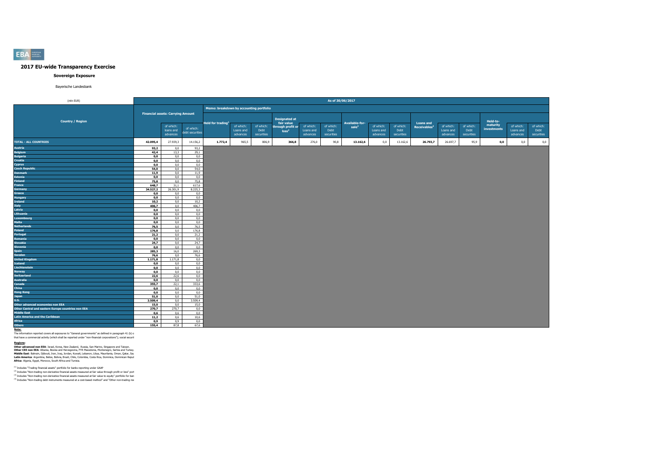### **Sovereign Exposure**

#### Bayerische Landesbank

| (mln EUR)                                                                                                    |              |                                          |                 |                                         |                       |                    |                                 |                       | As of 30/06/2017   |                                     |                       |                    |                                              |                       |                    |             |                       |                    |
|--------------------------------------------------------------------------------------------------------------|--------------|------------------------------------------|-----------------|-----------------------------------------|-----------------------|--------------------|---------------------------------|-----------------------|--------------------|-------------------------------------|-----------------------|--------------------|----------------------------------------------|-----------------------|--------------------|-------------|-----------------------|--------------------|
|                                                                                                              |              |                                          |                 | Memo: breakdown by accounting portfolio |                       |                    |                                 |                       |                    |                                     |                       |                    |                                              |                       |                    |             |                       |                    |
|                                                                                                              |              | <b>Financial assets: Carrying Amount</b> |                 |                                         |                       |                    |                                 |                       |                    |                                     |                       |                    |                                              |                       |                    |             |                       |                    |
| <b>Country / Region</b>                                                                                      |              |                                          |                 |                                         |                       |                    | <b>Designated at</b>            |                       |                    |                                     |                       |                    |                                              |                       |                    | Held-to-    |                       |                    |
|                                                                                                              |              | of which:                                | of which:       | Held for trading <sup>1</sup>           | of which:             | of which:          | fair value<br>through profit or | of which:             | of which:          | Available-for-<br>sale <sup>3</sup> | of which:             | of which:          | <b>Loans and</b><br>Receivables <sup>4</sup> | of which:             | of which:          | maturity    | of which:             | of which:          |
|                                                                                                              |              | loans and<br>advances                    | debt securities |                                         | Loans and<br>advances | Debt<br>securities | loss <sup>2</sup>               | Loans and<br>advances | Debt<br>securities |                                     | Loans and<br>advances | Debt<br>securities |                                              | Loans and<br>advances | Debt<br>securities | investments | Loans and<br>advances | Debt<br>securities |
| <b>TOTAL - ALL COUNTRIES</b>                                                                                 | 42.095,4     |                                          |                 |                                         | 965,5                 |                    |                                 |                       |                    | 13.162,6                            |                       | 13.162,6           | 26.793,7                                     | 26.697,7              |                    |             | $_{0,0}$              |                    |
|                                                                                                              |              | 27.939,3                                 | 14.156,2        | 1.772,4                                 |                       | 806,9              | 366,8                           | 276,0                 | 90,8               |                                     | 0,0                   |                    |                                              |                       | 95,9               | 0,0         |                       | $_{0,0}$           |
| Austria                                                                                                      | 93,2         | 0,0                                      | 93,2            |                                         |                       |                    |                                 |                       |                    |                                     |                       |                    |                                              |                       |                    |             |                       |                    |
| <b>Belgium</b>                                                                                               | 42,4         | 13,3<br>0,0                              | 29,1<br>0,0     |                                         |                       |                    |                                 |                       |                    |                                     |                       |                    |                                              |                       |                    |             |                       |                    |
| <b>Bulgaria</b><br>Croatia                                                                                   | 0, 0<br>0,0  | 0,0                                      | 0,0             |                                         |                       |                    |                                 |                       |                    |                                     |                       |                    |                                              |                       |                    |             |                       |                    |
| Cyprus                                                                                                       | 0,0          | 0,0                                      | 0,0             |                                         |                       |                    |                                 |                       |                    |                                     |                       |                    |                                              |                       |                    |             |                       |                    |
| <b>Czech Republic</b>                                                                                        | 54,0         | 0,0                                      | 54,0            |                                         |                       |                    |                                 |                       |                    |                                     |                       |                    |                                              |                       |                    |             |                       |                    |
| <b>Denmark</b>                                                                                               | 11,9         | 0,0                                      | 11,9            |                                         |                       |                    |                                 |                       |                    |                                     |                       |                    |                                              |                       |                    |             |                       |                    |
| <b>Estonia</b>                                                                                               | 0,0          | 0,0                                      | 0,0             |                                         |                       |                    |                                 |                       |                    |                                     |                       |                    |                                              |                       |                    |             |                       |                    |
| <b>Finland</b>                                                                                               | 75,8         | 0,0                                      | 75,8            |                                         |                       |                    |                                 |                       |                    |                                     |                       |                    |                                              |                       |                    |             |                       |                    |
| France                                                                                                       | 648,7        | 31,1                                     | 617,6           |                                         |                       |                    |                                 |                       |                    |                                     |                       |                    |                                              |                       |                    |             |                       |                    |
| <b>Germany</b>                                                                                               | 34.527,2     | 26.301,9                                 | 8.225,3         |                                         |                       |                    |                                 |                       |                    |                                     |                       |                    |                                              |                       |                    |             |                       |                    |
| Greece                                                                                                       | 0,0          | 0,0                                      | 0,0             |                                         |                       |                    |                                 |                       |                    |                                     |                       |                    |                                              |                       |                    |             |                       |                    |
| <b>Hungary</b>                                                                                               | 0,0          | 0,0                                      | 0,0             |                                         |                       |                    |                                 |                       |                    |                                     |                       |                    |                                              |                       |                    |             |                       |                    |
| <b>Ireland</b>                                                                                               | 10,2         | 0,0                                      | 10,2            |                                         |                       |                    |                                 |                       |                    |                                     |                       |                    |                                              |                       |                    |             |                       |                    |
| Italy                                                                                                        | 406,7        | 0,0                                      | 406,7           |                                         |                       |                    |                                 |                       |                    |                                     |                       |                    |                                              |                       |                    |             |                       |                    |
| Latvia                                                                                                       | 0,0          | 0.0                                      | 0.0             |                                         |                       |                    |                                 |                       |                    |                                     |                       |                    |                                              |                       |                    |             |                       |                    |
| Lithuania                                                                                                    | 0,0          | 0,0                                      | 0,0             |                                         |                       |                    |                                 |                       |                    |                                     |                       |                    |                                              |                       |                    |             |                       |                    |
| Luxembourg                                                                                                   | 0, 0         | 0,0                                      | 0,0             |                                         |                       |                    |                                 |                       |                    |                                     |                       |                    |                                              |                       |                    |             |                       |                    |
| Malta                                                                                                        | 0, 0         | 0,0                                      | 0,0             |                                         |                       |                    |                                 |                       |                    |                                     |                       |                    |                                              |                       |                    |             |                       |                    |
| <b>Netherlands</b>                                                                                           | 76,5         | 0,0                                      | 76,5            |                                         |                       |                    |                                 |                       |                    |                                     |                       |                    |                                              |                       |                    |             |                       |                    |
| Poland                                                                                                       | 176,8        | 0,0<br>0,0                               | 176,8<br>21,2   |                                         |                       |                    |                                 |                       |                    |                                     |                       |                    |                                              |                       |                    |             |                       |                    |
| Portugal<br>Romania                                                                                          | 21,2<br>0, 0 | 0,0                                      | 0.0             |                                         |                       |                    |                                 |                       |                    |                                     |                       |                    |                                              |                       |                    |             |                       |                    |
| <b>Slovakia</b>                                                                                              | 24,7         | 0,0                                      | 24,7            |                                         |                       |                    |                                 |                       |                    |                                     |                       |                    |                                              |                       |                    |             |                       |                    |
| Slovenia                                                                                                     | 0,0          | 0,0                                      | 0,0             |                                         |                       |                    |                                 |                       |                    |                                     |                       |                    |                                              |                       |                    |             |                       |                    |
| Spain                                                                                                        | 285.3        | 16.0                                     | 269.3           |                                         |                       |                    |                                 |                       |                    |                                     |                       |                    |                                              |                       |                    |             |                       |                    |
| Sweden                                                                                                       | 76,6         | 0.0                                      | 76,6            |                                         |                       |                    |                                 |                       |                    |                                     |                       |                    |                                              |                       |                    |             |                       |                    |
| <b>United Kingdom</b>                                                                                        | 1.171,8      | 1.171,8                                  | 0,0             |                                         |                       |                    |                                 |                       |                    |                                     |                       |                    |                                              |                       |                    |             |                       |                    |
| <b>Iceland</b>                                                                                               | 0,0          | 0,0                                      | 0,0             |                                         |                       |                    |                                 |                       |                    |                                     |                       |                    |                                              |                       |                    |             |                       |                    |
| Liechtenstein                                                                                                | 0,0          | 0.0                                      | 0,0             |                                         |                       |                    |                                 |                       |                    |                                     |                       |                    |                                              |                       |                    |             |                       |                    |
| <b>Norway</b>                                                                                                | 0,0          | 0,0                                      | 0,0             |                                         |                       |                    |                                 |                       |                    |                                     |                       |                    |                                              |                       |                    |             |                       |                    |
| <b>Switzerland</b>                                                                                           | 22,6         | 22,6                                     | 0,0             |                                         |                       |                    |                                 |                       |                    |                                     |                       |                    |                                              |                       |                    |             |                       |                    |
| <b>Australia</b>                                                                                             | 0, 0         | 0,0                                      | 0,0             |                                         |                       |                    |                                 |                       |                    |                                     |                       |                    |                                              |                       |                    |             |                       |                    |
| Canada                                                                                                       | 355,7        | 22,1                                     | 333,6           |                                         |                       |                    |                                 |                       |                    |                                     |                       |                    |                                              |                       |                    |             |                       |                    |
| China                                                                                                        | 0,0          | 0,0                                      | 0,0             |                                         |                       |                    |                                 |                       |                    |                                     |                       |                    |                                              |                       |                    |             |                       |                    |
| <b>Hong Kong</b>                                                                                             | 0, 0         | 0,0                                      | 0,0             |                                         |                       |                    |                                 |                       |                    |                                     |                       |                    |                                              |                       |                    |             |                       |                    |
| Japan                                                                                                        | 51,0         | 0,0                                      | 51,0            |                                         |                       |                    |                                 |                       |                    |                                     |                       |                    |                                              |                       |                    |             |                       |                    |
| <b>U.S.</b>                                                                                                  | 3.509,4      | 0,0                                      | 3.509,4         |                                         |                       |                    |                                 |                       |                    |                                     |                       |                    |                                              |                       |                    |             |                       |                    |
| Other advanced economies non EEA<br>Other Central and eastern Europe countries non EEA                       | 15,0         | 0,0                                      | 15,0            |                                         |                       |                    |                                 |                       |                    |                                     |                       |                    |                                              |                       |                    |             |                       |                    |
| <b>Middle East</b>                                                                                           | 270,7        | 270,7                                    | 0,0             |                                         |                       |                    |                                 |                       |                    |                                     |                       |                    |                                              |                       |                    |             |                       |                    |
| <b>Latin America and the Caribbean</b>                                                                       | 0,6<br>11,2  | 0,6<br>0,6                               | 0,0<br>10,6     |                                         |                       |                    |                                 |                       |                    |                                     |                       |                    |                                              |                       |                    |             |                       |                    |
| Africa                                                                                                       | 0,9          | 0,9                                      | 0,0             |                                         |                       |                    |                                 |                       |                    |                                     |                       |                    |                                              |                       |                    |             |                       |                    |
| <b>Others</b>                                                                                                | 155,4        | 87,8                                     | 67,6            |                                         |                       |                    |                                 |                       |                    |                                     |                       |                    |                                              |                       |                    |             |                       |                    |
| Note:                                                                                                        |              |                                          |                 |                                         |                       |                    |                                 |                       |                    |                                     |                       |                    |                                              |                       |                    |             |                       |                    |
| The information reported covers all exposures to "General governments" as defined in paragraph 41 (b) c      |              |                                          |                 |                                         |                       |                    |                                 |                       |                    |                                     |                       |                    |                                              |                       |                    |             |                       |                    |
| that have a commercial activity (which shall be reported under "non-financial corporations"); social securit |              |                                          |                 |                                         |                       |                    |                                 |                       |                    |                                     |                       |                    |                                              |                       |                    |             |                       |                    |

**Regions:**<br>Other advanced non EEA: Israel, Korea, New Zealand, Russia, San Marino, Singapore and Taiwan.<br>Middle East: Bahrain, Dijbouti, Jan, Iraq, Jordan, Kiwa Mexicolnia, Monteneror, Serbia and Turkey.<br>Middle East: Bahra

<sup>03</sup> Includes "Trading financials assets" portfolio for banks reporting under GAAP<br><sup>03</sup> Includes "Non-trading non-derivative financial assets measured at fair value through profit or loss" port<br><sup>03</sup> Includes "Non-trading n

**EBA**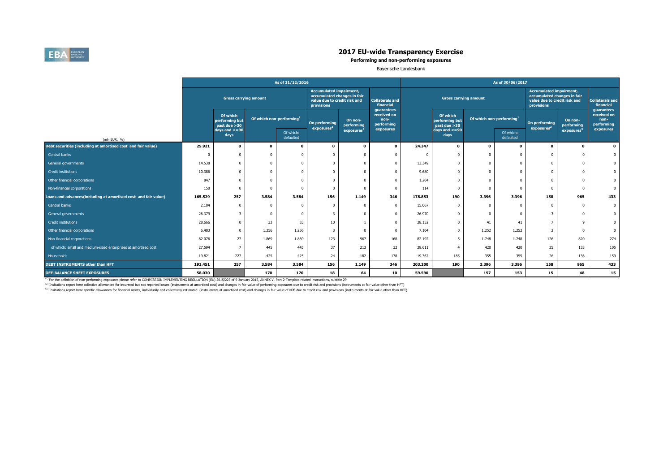

# <sup>201612</sup> <sup>201612</sup> <sup>201612</sup> <sup>201612</sup> <sup>201612</sup> <sup>201612</sup> <sup>201706</sup> <sup>201706</sup> <sup>201706</sup> <sup>201706</sup> <sup>201706</sup> <sup>201706</sup> <sup>201706</sup> **2017 EU-wide Transparency Exercise**

### **Performing and non-performing exposures**

Bayerische Landesbank

| <b>Accumulated impairment,</b><br><b>Accumulated impairment,</b><br>accumulated changes in fair<br>accumulated changes in fair<br><b>Gross carrying amount</b><br><b>Gross carrying amount</b><br><b>Collaterals and</b><br>value due to credit risk and<br>value due to credit risk and<br>financial<br>provisions<br><b>provisions</b><br>guarantees<br>guarantees<br>received on<br>Of which<br>Of which<br>Of which non-performing <sup>1</sup><br>Of which non-performing <sup>1</sup><br>non-<br>On non-<br>performing but<br>On non-<br>performing but<br>On performing<br>On performing<br>performing<br>performing<br>performing<br>past due > 30<br>past due > 30<br>exposures <sup>2</sup><br>exposures <sup>2</sup><br>exposures<br>exposures<br>$days$ and $\lt$ =90<br>days and $\lt$ =90<br>exposures <sup>3</sup><br>exposures <sup>3</sup><br>Of which:<br>Of which:<br>days<br>days<br>defaulted<br>defaulted<br>(mln EUR, %)<br>Debt securities (including at amortised cost and fair value)<br>25.921<br>24.347<br>$\mathbf{0}$<br>$\mathbf{0}$<br>$\Omega$<br>$\mathbf{0}$<br>$\mathbf{0}$<br>$\Omega$<br>$\Omega$<br>$\mathbf{0}$<br>$\Omega$<br>$\Omega$<br>$\mathbf{a}$<br>Central banks<br>$\mathbf 0$<br>$\Omega$<br>14.538<br>13.349<br>General governments<br>$\Omega$<br>$\mathbf 0$<br>$\Omega$<br>$\Omega$<br>10.386<br>9.680<br>$\Omega$<br>Credit institutions<br>$\Omega$ |                                     |
|-------------------------------------------------------------------------------------------------------------------------------------------------------------------------------------------------------------------------------------------------------------------------------------------------------------------------------------------------------------------------------------------------------------------------------------------------------------------------------------------------------------------------------------------------------------------------------------------------------------------------------------------------------------------------------------------------------------------------------------------------------------------------------------------------------------------------------------------------------------------------------------------------------------------------------------------------------------------------------------------------------------------------------------------------------------------------------------------------------------------------------------------------------------------------------------------------------------------------------------------------------------------------------------------------------------------------------------------------------------------------------------------------------------|-------------------------------------|
|                                                                                                                                                                                                                                                                                                                                                                                                                                                                                                                                                                                                                                                                                                                                                                                                                                                                                                                                                                                                                                                                                                                                                                                                                                                                                                                                                                                                             | <b>Collaterals and</b><br>financial |
|                                                                                                                                                                                                                                                                                                                                                                                                                                                                                                                                                                                                                                                                                                                                                                                                                                                                                                                                                                                                                                                                                                                                                                                                                                                                                                                                                                                                             | received on<br>non-<br>performing   |
|                                                                                                                                                                                                                                                                                                                                                                                                                                                                                                                                                                                                                                                                                                                                                                                                                                                                                                                                                                                                                                                                                                                                                                                                                                                                                                                                                                                                             |                                     |
|                                                                                                                                                                                                                                                                                                                                                                                                                                                                                                                                                                                                                                                                                                                                                                                                                                                                                                                                                                                                                                                                                                                                                                                                                                                                                                                                                                                                             | $\mathbf{0}$                        |
|                                                                                                                                                                                                                                                                                                                                                                                                                                                                                                                                                                                                                                                                                                                                                                                                                                                                                                                                                                                                                                                                                                                                                                                                                                                                                                                                                                                                             | $\Omega$                            |
|                                                                                                                                                                                                                                                                                                                                                                                                                                                                                                                                                                                                                                                                                                                                                                                                                                                                                                                                                                                                                                                                                                                                                                                                                                                                                                                                                                                                             |                                     |
|                                                                                                                                                                                                                                                                                                                                                                                                                                                                                                                                                                                                                                                                                                                                                                                                                                                                                                                                                                                                                                                                                                                                                                                                                                                                                                                                                                                                             |                                     |
| 847<br>1.204<br>Other financial corporations<br>$\Omega$<br>$\mathbf 0$<br>$\Omega$                                                                                                                                                                                                                                                                                                                                                                                                                                                                                                                                                                                                                                                                                                                                                                                                                                                                                                                                                                                                                                                                                                                                                                                                                                                                                                                         |                                     |
| 150<br>114<br>Non-financial corporations<br>$\mathbf 0$<br>$\Omega$<br>$\Omega$<br>$\Omega$<br>$\Omega$<br>$\Omega$                                                                                                                                                                                                                                                                                                                                                                                                                                                                                                                                                                                                                                                                                                                                                                                                                                                                                                                                                                                                                                                                                                                                                                                                                                                                                         |                                     |
| Loans and advances(including at amortised cost and fair value)<br>257<br>3.584<br>3.584<br>156<br>346<br>190<br>3.396<br>965<br>165.529<br>1.149<br>178.853<br>3.396<br>158                                                                                                                                                                                                                                                                                                                                                                                                                                                                                                                                                                                                                                                                                                                                                                                                                                                                                                                                                                                                                                                                                                                                                                                                                                 | 433                                 |
| 2.104<br>15.067<br>Central banks<br>$\mathbf 0$<br>$\mathbf 0$<br>$\Omega$<br>$\Omega$<br>$\Omega$<br>$\Omega$                                                                                                                                                                                                                                                                                                                                                                                                                                                                                                                                                                                                                                                                                                                                                                                                                                                                                                                                                                                                                                                                                                                                                                                                                                                                                              | $\Omega$                            |
| 26.379<br>$-3$<br>26,970<br>$-3$<br>General governments<br>$\mathbf 0$<br>$\Omega$                                                                                                                                                                                                                                                                                                                                                                                                                                                                                                                                                                                                                                                                                                                                                                                                                                                                                                                                                                                                                                                                                                                                                                                                                                                                                                                          |                                     |
| 33<br>33<br>10<br>$\overline{7}$<br>28.666<br>28.152<br>9<br>Credit institutions<br>41<br>$\Omega$<br>$\Omega$<br>41                                                                                                                                                                                                                                                                                                                                                                                                                                                                                                                                                                                                                                                                                                                                                                                                                                                                                                                                                                                                                                                                                                                                                                                                                                                                                        |                                     |
| 1.256<br>6.483<br>1.256<br>7.104<br>1.252<br>1.252<br>3<br>$\overline{2}$<br>Other financial corporations<br>$\mathbf 0$<br>$\Omega$<br>$\Omega$                                                                                                                                                                                                                                                                                                                                                                                                                                                                                                                                                                                                                                                                                                                                                                                                                                                                                                                                                                                                                                                                                                                                                                                                                                                            |                                     |
| 123<br>967<br>168<br>126<br>820<br>27<br>1.869<br>1.869<br>82.192<br>1.748<br>1.748<br>Non-financial corporations<br>82.076<br>5                                                                                                                                                                                                                                                                                                                                                                                                                                                                                                                                                                                                                                                                                                                                                                                                                                                                                                                                                                                                                                                                                                                                                                                                                                                                            | 274                                 |
| 37<br>213<br>32<br>35<br>133<br>27.594<br>445<br>28.611<br>of which: small and medium-sized enterprises at amortised cost<br>445<br>420<br>420<br>$\epsilon$                                                                                                                                                                                                                                                                                                                                                                                                                                                                                                                                                                                                                                                                                                                                                                                                                                                                                                                                                                                                                                                                                                                                                                                                                                                | 105                                 |
| 185<br>136<br>19.821<br>227<br>425<br>425<br>24<br>182<br>178<br>19.367<br>355<br>355<br>26<br><b>Households</b>                                                                                                                                                                                                                                                                                                                                                                                                                                                                                                                                                                                                                                                                                                                                                                                                                                                                                                                                                                                                                                                                                                                                                                                                                                                                                            | 159                                 |
| 156<br>257<br>3.584<br>3.584<br>1.149<br>346<br>203.200<br>190<br>3.396<br>158<br>965<br><b>DEBT INSTRUMENTS other than HFT</b><br>191.451<br>3.396                                                                                                                                                                                                                                                                                                                                                                                                                                                                                                                                                                                                                                                                                                                                                                                                                                                                                                                                                                                                                                                                                                                                                                                                                                                         | 433                                 |
| 170<br>18<br>64<br>10<br>59.590<br>15<br>48<br><b>OFF-BALANCE SHEET EXPOSURES</b><br>58.030<br>170<br>157<br>153                                                                                                                                                                                                                                                                                                                                                                                                                                                                                                                                                                                                                                                                                                                                                                                                                                                                                                                                                                                                                                                                                                                                                                                                                                                                                            | 15                                  |

<sup>(2)</sup> Insitutions report here collective allowances for incurrred but not reported losses (instruments at amortised cost) and changes in fair value of performing exposures due to credit risk and provisions (instruments at